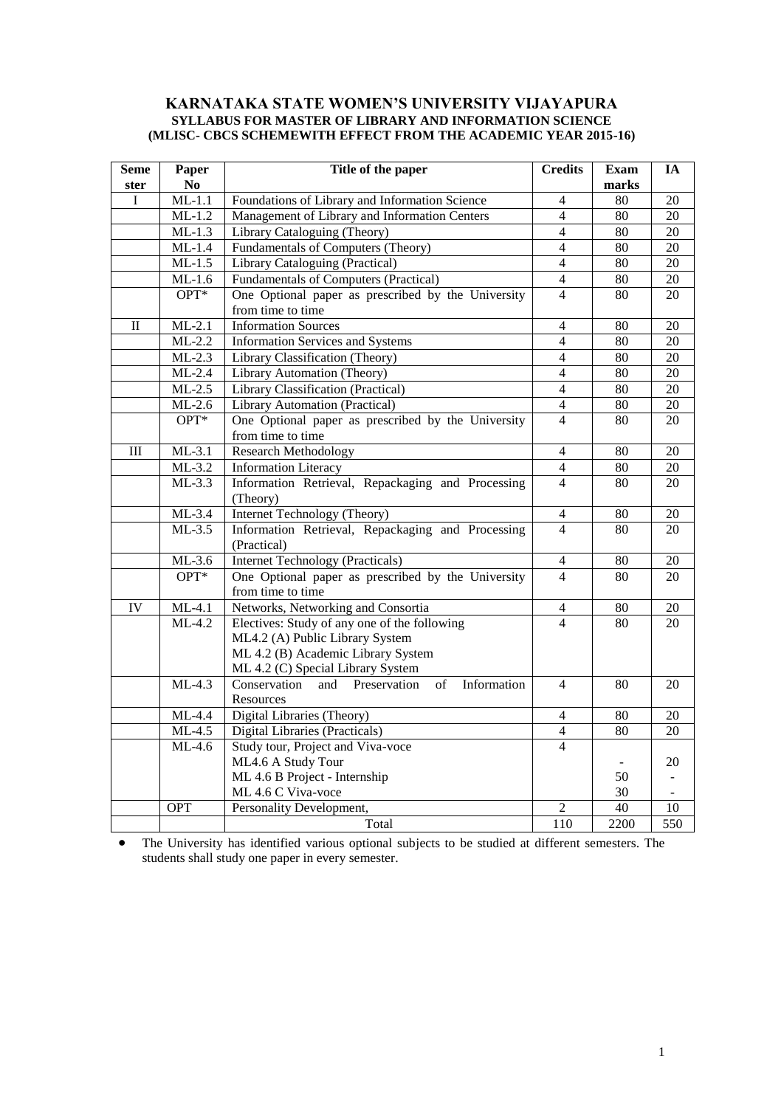#### **KARNATAKA STATE WOMEN'S UNIVERSITY VIJAYAPURA SYLLABUS FOR MASTER OF LIBRARY AND INFORMATION SCIENCE (MLISC- CBCS SCHEMEWITH EFFECT FROM THE ACADEMIC YEAR 2015-16)**

| <b>Seme</b><br>ster | Paper<br>N <sub>0</sub>    | Title of the paper                                       | <b>Credits</b>           | <b>Exam</b><br>marks | IA              |
|---------------------|----------------------------|----------------------------------------------------------|--------------------------|----------------------|-----------------|
| I                   | $ML-1.1$                   | Foundations of Library and Information Science           | $\overline{4}$           | 80                   | 20              |
|                     | $ML-1.2$                   | Management of Library and Information Centers            | $\overline{4}$           | 80                   | 20              |
|                     | $ML-1.3$                   | Library Cataloguing (Theory)                             | $\overline{4}$           | 80                   | 20              |
|                     | $ML-1.4$                   | Fundamentals of Computers (Theory)                       | $\overline{4}$           | 80                   | 20              |
|                     | $ML-1.5$                   | Library Cataloguing (Practical)                          | $\overline{4}$           | 80                   | 20              |
|                     | $ML-1.6$                   | <b>Fundamentals of Computers (Practical)</b>             | $\overline{4}$           | 80                   | 20              |
|                     | OPT*                       | One Optional paper as prescribed by the University       | $\overline{4}$           | 80                   | 20              |
|                     |                            | from time to time                                        |                          |                      |                 |
| $\mathbf{I}$        | $ML-2.1$                   | <b>Information Sources</b>                               | $\overline{4}$           | 80                   | 20              |
|                     | $ML-2.2$                   | Information Services and Systems                         | $\overline{4}$           | 80                   | 20              |
|                     | $ML-2.3$                   | Library Classification (Theory)                          | $\overline{4}$           | 80                   | 20              |
|                     | $ML-2.4$                   | Library Automation (Theory)                              | $\overline{4}$           | 80                   | 20              |
|                     | $ML-2.5$                   | Library Classification (Practical)                       | $\overline{4}$           | 80                   | $\overline{20}$ |
|                     | $ML-2.6$                   | Library Automation (Practical)                           | $\overline{4}$           | 80                   | $\overline{20}$ |
|                     | OPT*                       | One Optional paper as prescribed by the University       | $\overline{4}$           | 80                   | 20              |
|                     |                            | from time to time                                        |                          |                      |                 |
| III                 | $ML-3.1$                   | <b>Research Methodology</b>                              | $\overline{4}$           | 80                   | 20              |
|                     | $ML-3.2$                   | <b>Information Literacy</b>                              | 4                        | 80                   | 20              |
|                     | $ML-3.3$                   | Information Retrieval, Repackaging and Processing        | $\overline{\mathcal{L}}$ | 80                   | 20              |
|                     |                            | (Theory)                                                 |                          |                      |                 |
|                     | $ML-3.4$                   | Internet Technology (Theory)                             | $\overline{4}$           | 80                   | $\overline{20}$ |
|                     | $ML-3.5$                   | Information Retrieval, Repackaging and Processing        | 4                        | 80                   | 20              |
|                     |                            | (Practical)                                              |                          |                      |                 |
|                     | $ML-3.6$                   | <b>Internet Technology (Practicals)</b>                  | $\overline{4}$           | 80                   | 20              |
|                     | OPT*                       | One Optional paper as prescribed by the University       | $\overline{\mathcal{L}}$ | 80                   | 20              |
|                     |                            | from time to time                                        |                          |                      |                 |
| IV                  | $ML-4.1$                   | Networks, Networking and Consortia                       | 4                        | 80                   | $20\,$          |
|                     | $\overline{\text{ML-4.2}}$ | Electives: Study of any one of the following             | 4                        | 80                   | 20              |
|                     |                            | ML4.2 (A) Public Library System                          |                          |                      |                 |
|                     |                            | ML 4.2 (B) Academic Library System                       |                          |                      |                 |
|                     |                            | ML 4.2 (C) Special Library System                        |                          |                      |                 |
|                     | $ML-4.3$                   | Conservation<br>of<br>Information<br>and<br>Preservation | $\overline{\mathcal{L}}$ | 80                   | 20              |
|                     |                            | Resources                                                |                          |                      |                 |
|                     | $ML-4.4$                   | Digital Libraries (Theory)                               | 4                        | $\overline{80}$      | 20              |
|                     | $ML-4.5$                   | Digital Libraries (Practicals)                           | 4                        | 80                   | $\overline{20}$ |
|                     | $ML-4.6$                   | Study tour, Project and Viva-voce                        | $\overline{4}$           |                      |                 |
|                     |                            | ML4.6 A Study Tour                                       |                          |                      | 20              |
|                     |                            | ML 4.6 B Project - Internship                            |                          | 50                   |                 |
|                     |                            | ML 4.6 C Viva-voce                                       |                          | 30                   |                 |
|                     | <b>OPT</b>                 | Personality Development,                                 | 2                        | $\overline{40}$      | 10              |
|                     |                            | Total                                                    | 110                      | 2200                 | 550             |

 The University has identified various optional subjects to be studied at different semesters. The students shall study one paper in every semester.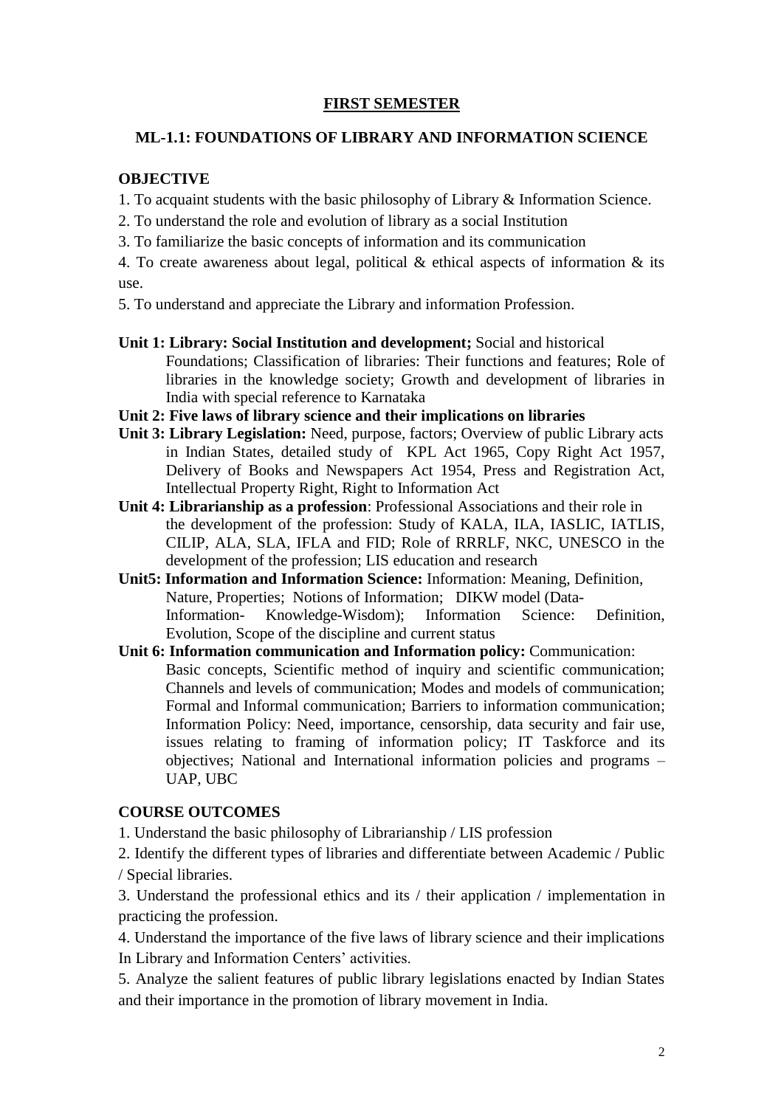## **FIRST SEMESTER**

### **ML-1.1: FOUNDATIONS OF LIBRARY AND INFORMATION SCIENCE**

### **OBJECTIVE**

- 1. To acquaint students with the basic philosophy of Library & Information Science.
- 2. To understand the role and evolution of library as a social Institution
- 3. To familiarize the basic concepts of information and its communication

4. To create awareness about legal, political  $\&$  ethical aspects of information  $\&$  its use.

5. To understand and appreciate the Library and information Profession.

- **Unit 1: Library: Social Institution and development;** Social and historical Foundations; Classification of libraries: Their functions and features; Role of libraries in the knowledge society; Growth and development of libraries in India with special reference to Karnataka
- **Unit 2: Five laws of library science and their implications on libraries**
- **Unit 3: Library Legislation:** Need, purpose, factors; Overview of public Library acts in Indian States, detailed study of KPL Act 1965, Copy Right Act 1957, Delivery of Books and Newspapers Act 1954, Press and Registration Act, Intellectual Property Right, Right to Information Act
- **Unit 4: Librarianship as a profession**: Professional Associations and their role in the development of the profession: Study of KALA, ILA, IASLIC, IATLIS, CILIP, ALA, SLA, IFLA and FID; Role of RRRLF, NKC, UNESCO in the development of the profession; LIS education and research
- **Unit5: Information and Information Science:** Information: Meaning, Definition, Nature, Properties; Notions of Information; DIKW model (Data-Information- Knowledge-Wisdom); Information Science: Definition, Evolution, Scope of the discipline and current status
- **Unit 6: Information communication and Information policy:** Communication: Basic concepts, Scientific method of inquiry and scientific communication; Channels and levels of communication; Modes and models of communication; Formal and Informal communication; Barriers to information communication; Information Policy: Need, importance, censorship, data security and fair use, issues relating to framing of information policy; IT Taskforce and its objectives; National and International information policies and programs – UAP, UBC

### **COURSE OUTCOMES**

1. Understand the basic philosophy of Librarianship / LIS profession

2. Identify the different types of libraries and differentiate between Academic / Public / Special libraries.

3. Understand the professional ethics and its / their application / implementation in practicing the profession.

4. Understand the importance of the five laws of library science and their implications In Library and Information Centers' activities.

5. Analyze the salient features of public library legislations enacted by Indian States and their importance in the promotion of library movement in India.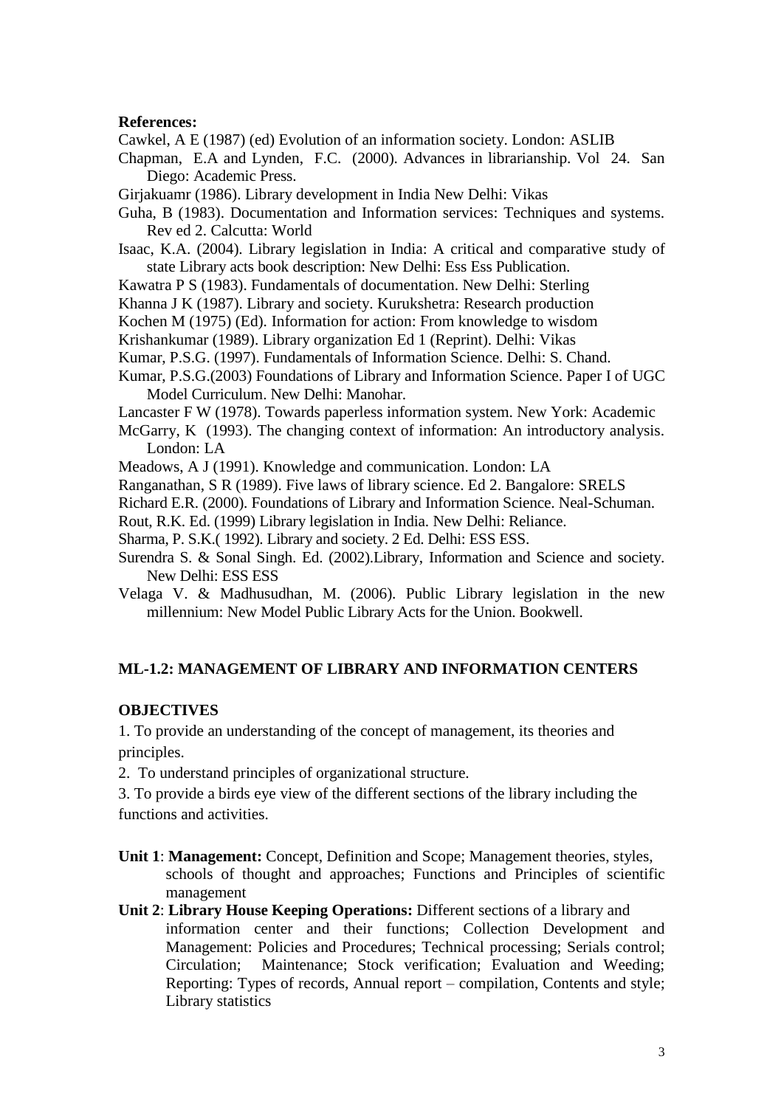#### **References:**

Cawkel, A E (1987) (ed) Evolution of an information society. London: ASLIB

Chapman, E.A and Lynden, F.C. (2000). Advances in librarianship. Vol 24. San Diego: Academic Press.

Girjakuamr (1986). Library development in India New Delhi: Vikas

Guha, B (1983). Documentation and Information services: Techniques and systems. Rev ed 2. Calcutta: World

Isaac, K.A. (2004). Library legislation in India: A critical and comparative study of state Library acts book description: New Delhi: Ess Ess Publication.

Kawatra P S (1983). Fundamentals of documentation. New Delhi: Sterling

Khanna J K (1987). Library and society. Kurukshetra: Research production

Kochen M (1975) (Ed). Information for action: From knowledge to wisdom

Krishankumar (1989). Library organization Ed 1 (Reprint). Delhi: Vikas

Kumar, P.S.G. (1997). Fundamentals of Information Science. Delhi: S. Chand.

Kumar, P.S.G.(2003) Foundations of Library and Information Science. Paper I of UGC Model Curriculum. New Delhi: Manohar.

Lancaster F W (1978). Towards paperless information system. New York: Academic

McGarry, K (1993). The changing context of information: An introductory analysis. London: LA

Meadows, A J (1991). Knowledge and communication. London: LA

Ranganathan, S R (1989). Five laws of library science. Ed 2. Bangalore: SRELS

Richard E.R. (2000). Foundations of Library and Information Science. Neal-Schuman.

Rout, R.K. Ed. (1999) Library legislation in India. New Delhi: Reliance.

Sharma, P. S.K.( 1992). Library and society. 2 Ed. Delhi: ESS ESS.

Surendra S. & Sonal Singh. Ed. (2002).Library, Information and Science and society. New Delhi: ESS ESS

Velaga V. & Madhusudhan, M. (2006). Public Library legislation in the new millennium: New Model Public Library Acts for the Union. Bookwell.

### **ML-1.2: MANAGEMENT OF LIBRARY AND INFORMATION CENTERS**

### **OBJECTIVES**

1. To provide an understanding of the concept of management, its theories and principles.

2. To understand principles of organizational structure.

3. To provide a birds eye view of the different sections of the library including the functions and activities.

- **Unit 1**: **Management:** Concept, Definition and Scope; Management theories, styles, schools of thought and approaches; Functions and Principles of scientific management
- **Unit 2**: **Library House Keeping Operations:** Different sections of a library and information center and their functions; Collection Development and Management: Policies and Procedures; Technical processing; Serials control; Circulation; Maintenance; Stock verification; Evaluation and Weeding; Reporting: Types of records, Annual report – compilation, Contents and style; Library statistics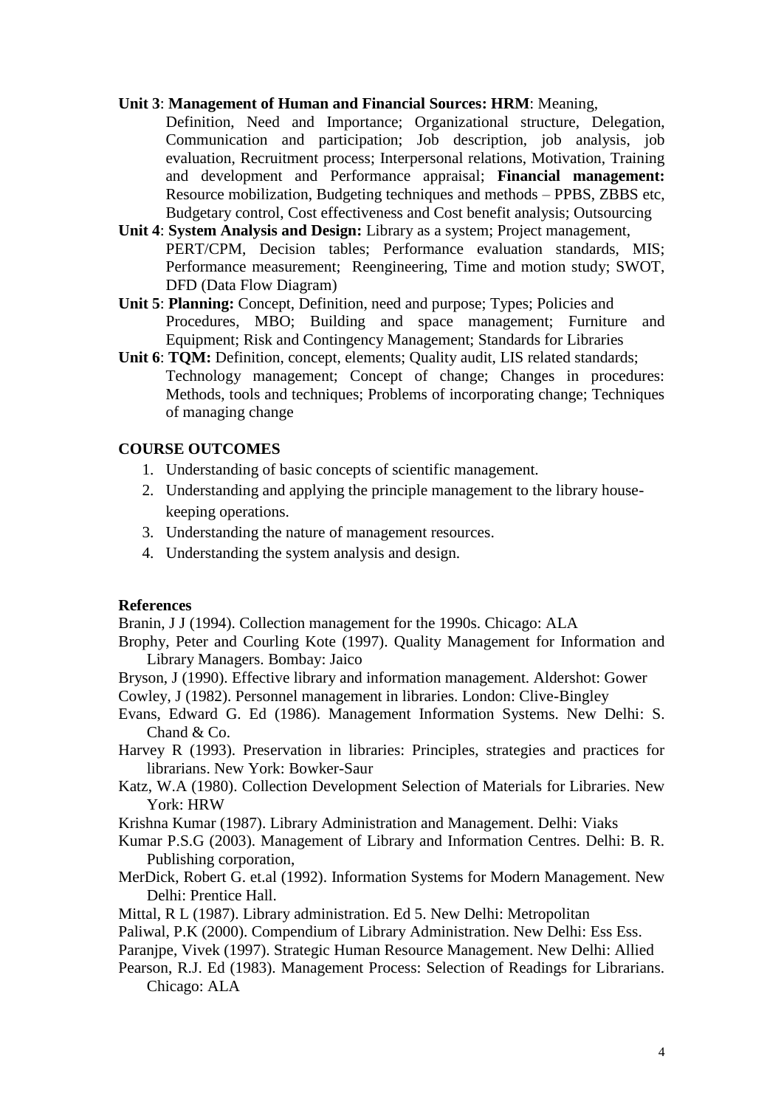#### **Unit 3**: **Management of Human and Financial Sources: HRM**: Meaning,

Definition, Need and Importance; Organizational structure, Delegation, Communication and participation; Job description, job analysis, job evaluation, Recruitment process; Interpersonal relations, Motivation, Training and development and Performance appraisal; **Financial management:** Resource mobilization, Budgeting techniques and methods – PPBS, ZBBS etc, Budgetary control, Cost effectiveness and Cost benefit analysis; Outsourcing

- **Unit 4**: **System Analysis and Design:** Library as a system; Project management, PERT/CPM, Decision tables; Performance evaluation standards, MIS; Performance measurement; Reengineering, Time and motion study; SWOT, DFD (Data Flow Diagram)
- **Unit 5**: **Planning:** Concept, Definition, need and purpose; Types; Policies and Procedures, MBO; Building and space management; Furniture and Equipment; Risk and Contingency Management; Standards for Libraries
- Unit 6: TQM: Definition, concept, elements; Quality audit, LIS related standards; Technology management; Concept of change; Changes in procedures: Methods, tools and techniques; Problems of incorporating change; Techniques of managing change

#### **COURSE OUTCOMES**

- 1. Understanding of basic concepts of scientific management.
- 2. Understanding and applying the principle management to the library housekeeping operations.
- 3. Understanding the nature of management resources.
- 4. Understanding the system analysis and design.

#### **References**

Branin, J J (1994). Collection management for the 1990s. Chicago: ALA

- Brophy, Peter and Courling Kote (1997). Quality Management for Information and Library Managers. Bombay: Jaico
- Bryson, J (1990). Effective library and information management. Aldershot: Gower Cowley, J (1982). Personnel management in libraries. London: Clive-Bingley
- Evans, Edward G. Ed (1986). Management Information Systems. New Delhi: S. Chand & Co.
- Harvey R (1993). Preservation in libraries: Principles, strategies and practices for librarians. New York: Bowker-Saur
- Katz, W.A (1980). Collection Development Selection of Materials for Libraries. New York: HRW

Krishna Kumar (1987). Library Administration and Management. Delhi: Viaks

Kumar P.S.G (2003). Management of Library and Information Centres. Delhi: B. R. Publishing corporation,

- MerDick, Robert G. et.al (1992). Information Systems for Modern Management. New Delhi: Prentice Hall.
- Mittal, R L (1987). Library administration. Ed 5. New Delhi: Metropolitan
- Paliwal, P.K (2000). Compendium of Library Administration. New Delhi: Ess Ess.
- Paranjpe, Vivek (1997). Strategic Human Resource Management. New Delhi: Allied
- Pearson, R.J. Ed (1983). Management Process: Selection of Readings for Librarians. Chicago: ALA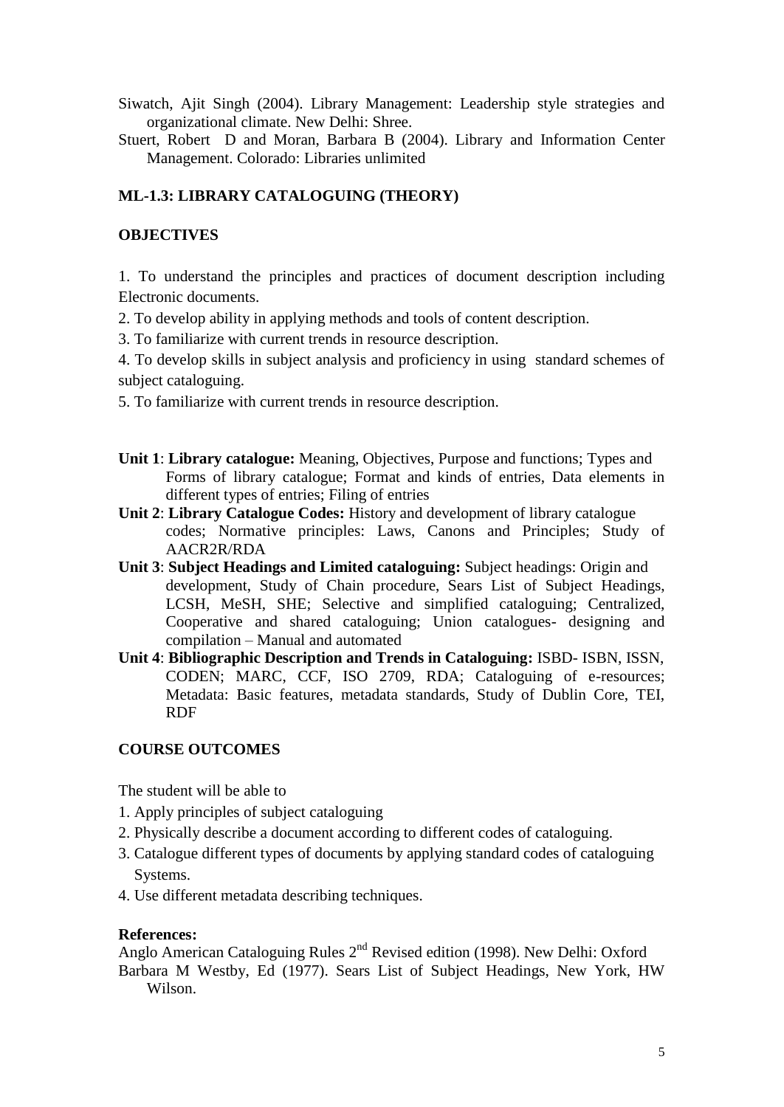- Siwatch, Ajit Singh (2004). Library Management: Leadership style strategies and organizational climate. New Delhi: Shree.
- Stuert, Robert D and Moran, Barbara B (2004). Library and Information Center Management. Colorado: Libraries unlimited

# **ML-1.3: LIBRARY CATALOGUING (THEORY)**

## **OBJECTIVES**

1. To understand the principles and practices of document description including Electronic documents.

2. To develop ability in applying methods and tools of content description.

3. To familiarize with current trends in resource description.

4. To develop skills in subject analysis and proficiency in using standard schemes of subject cataloguing.

5. To familiarize with current trends in resource description.

- **Unit 1**: **Library catalogue:** Meaning, Objectives, Purpose and functions; Types and Forms of library catalogue; Format and kinds of entries, Data elements in different types of entries; Filing of entries
- **Unit 2**: **Library Catalogue Codes:** History and development of library catalogue codes; Normative principles: Laws, Canons and Principles; Study of AACR2R/RDA
- **Unit 3**: **Subject Headings and Limited cataloguing:** Subject headings: Origin and development, Study of Chain procedure, Sears List of Subject Headings, LCSH, MeSH, SHE; Selective and simplified cataloguing; Centralized, Cooperative and shared cataloguing; Union catalogues- designing and compilation – Manual and automated
- **Unit 4**: **Bibliographic Description and Trends in Cataloguing:** ISBD- ISBN, ISSN, CODEN; MARC, CCF, ISO 2709, RDA; Cataloguing of e-resources; Metadata: Basic features, metadata standards, Study of Dublin Core, TEI, RDF

## **COURSE OUTCOMES**

The student will be able to

- 1. Apply principles of subject cataloguing
- 2. Physically describe a document according to different codes of cataloguing.
- 3. Catalogue different types of documents by applying standard codes of cataloguing Systems.
- 4. Use different metadata describing techniques.

## **References:**

Anglo American Cataloguing Rules 2nd Revised edition (1998). New Delhi: Oxford Barbara M Westby, Ed (1977). Sears List of Subject Headings, New York, HW Wilson.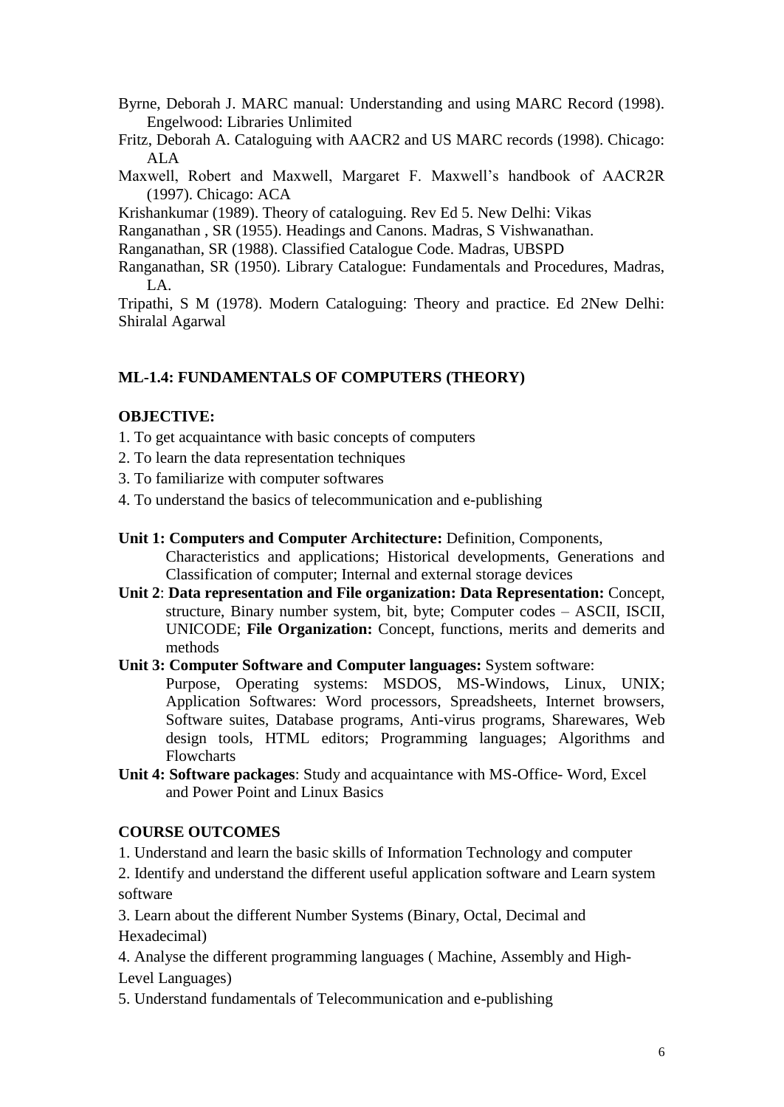- Byrne, Deborah J. MARC manual: Understanding and using MARC Record (1998). Engelwood: Libraries Unlimited
- Fritz, Deborah A. Cataloguing with AACR2 and US MARC records (1998). Chicago: ALA
- Maxwell, Robert and Maxwell, Margaret F. Maxwell's handbook of AACR2R (1997). Chicago: ACA

Krishankumar (1989). Theory of cataloguing. Rev Ed 5. New Delhi: Vikas

Ranganathan , SR (1955). Headings and Canons. Madras, S Vishwanathan.

- Ranganathan, SR (1988). Classified Catalogue Code. Madras, UBSPD
- Ranganathan, SR (1950). Library Catalogue: Fundamentals and Procedures, Madras,  $LA.$

Tripathi, S M (1978). Modern Cataloguing: Theory and practice. Ed 2New Delhi: Shiralal Agarwal

## **ML-1.4: FUNDAMENTALS OF COMPUTERS (THEORY)**

## **OBJECTIVE:**

- 1. To get acquaintance with basic concepts of computers
- 2. To learn the data representation techniques
- 3. To familiarize with computer softwares
- 4. To understand the basics of telecommunication and e-publishing
- **Unit 1: Computers and Computer Architecture:** Definition, Components,

Characteristics and applications; Historical developments, Generations and Classification of computer; Internal and external storage devices

- **Unit 2**: **Data representation and File organization: Data Representation:** Concept, structure, Binary number system, bit, byte; Computer codes – ASCII, ISCII, UNICODE; **File Organization:** Concept, functions, merits and demerits and methods
- **Unit 3: Computer Software and Computer languages:** System software:

Purpose, Operating systems: MSDOS, MS-Windows, Linux, UNIX; Application Softwares: Word processors, Spreadsheets, Internet browsers, Software suites, Database programs, Anti-virus programs, Sharewares, Web design tools, HTML editors; Programming languages; Algorithms and Flowcharts

**Unit 4: Software packages**: Study and acquaintance with MS-Office- Word, Excel and Power Point and Linux Basics

## **COURSE OUTCOMES**

1. Understand and learn the basic skills of Information Technology and computer

2. Identify and understand the different useful application software and Learn system software

3. Learn about the different Number Systems (Binary, Octal, Decimal and Hexadecimal)

4. Analyse the different programming languages ( Machine, Assembly and High-Level Languages)

5. Understand fundamentals of Telecommunication and e-publishing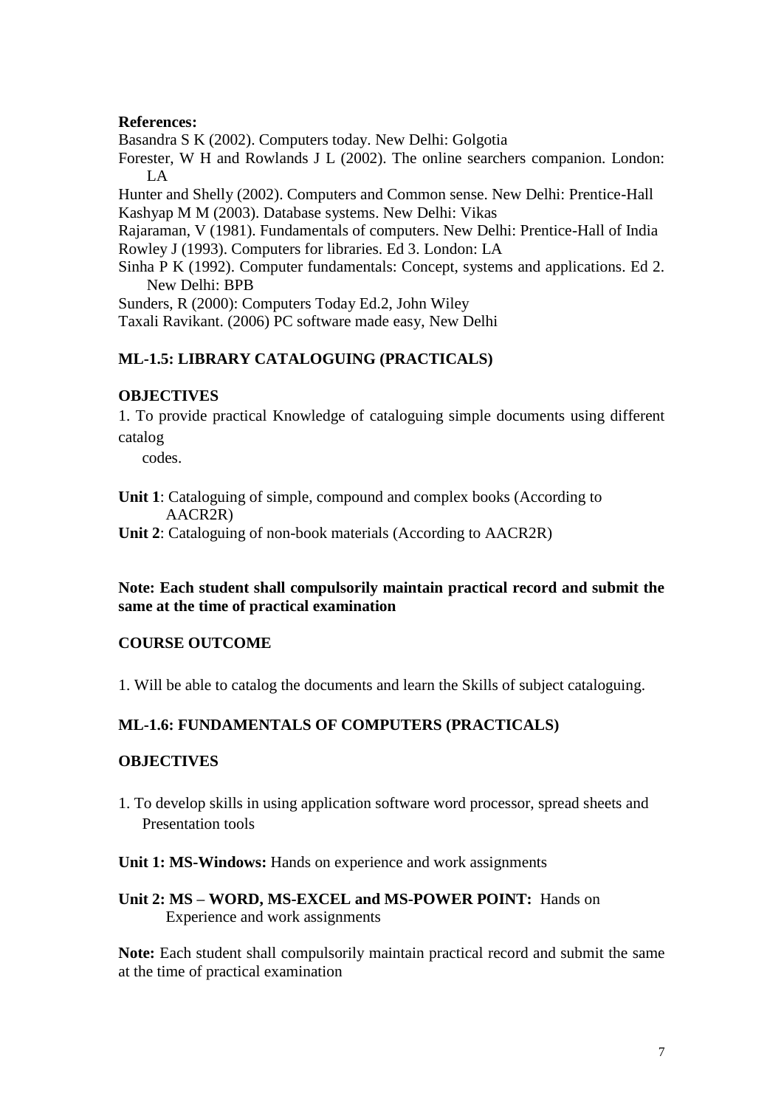### **References:**

Basandra S K (2002). Computers today. New Delhi: Golgotia

Forester, W H and Rowlands J L (2002). The online searchers companion. London: LA

Hunter and Shelly (2002). Computers and Common sense. New Delhi: Prentice-Hall Kashyap M M (2003). Database systems. New Delhi: Vikas

Rajaraman, V (1981). Fundamentals of computers. New Delhi: Prentice-Hall of India Rowley J (1993). Computers for libraries. Ed 3. London: LA

Sinha P K (1992). Computer fundamentals: Concept, systems and applications. Ed 2. New Delhi: BPB

Sunders, R (2000): Computers Today Ed.2, John Wiley

Taxali Ravikant. (2006) PC software made easy, New Delhi

## **ML-1.5: LIBRARY CATALOGUING (PRACTICALS)**

### **OBJECTIVES**

1. To provide practical Knowledge of cataloguing simple documents using different catalog

codes.

**Unit 1**: Cataloguing of simple, compound and complex books (According to AACR2R)

**Unit 2**: Cataloguing of non-book materials (According to AACR2R)

### **Note: Each student shall compulsorily maintain practical record and submit the same at the time of practical examination**

## **COURSE OUTCOME**

1. Will be able to catalog the documents and learn the Skills of subject cataloguing.

## **ML-1.6: FUNDAMENTALS OF COMPUTERS (PRACTICALS)**

### **OBJECTIVES**

1. To develop skills in using application software word processor, spread sheets and Presentation tools

### **Unit 1: MS-Windows:** Hands on experience and work assignments

**Unit 2: MS – WORD, MS-EXCEL and MS-POWER POINT:** Hands on Experience and work assignments

**Note:** Each student shall compulsorily maintain practical record and submit the same at the time of practical examination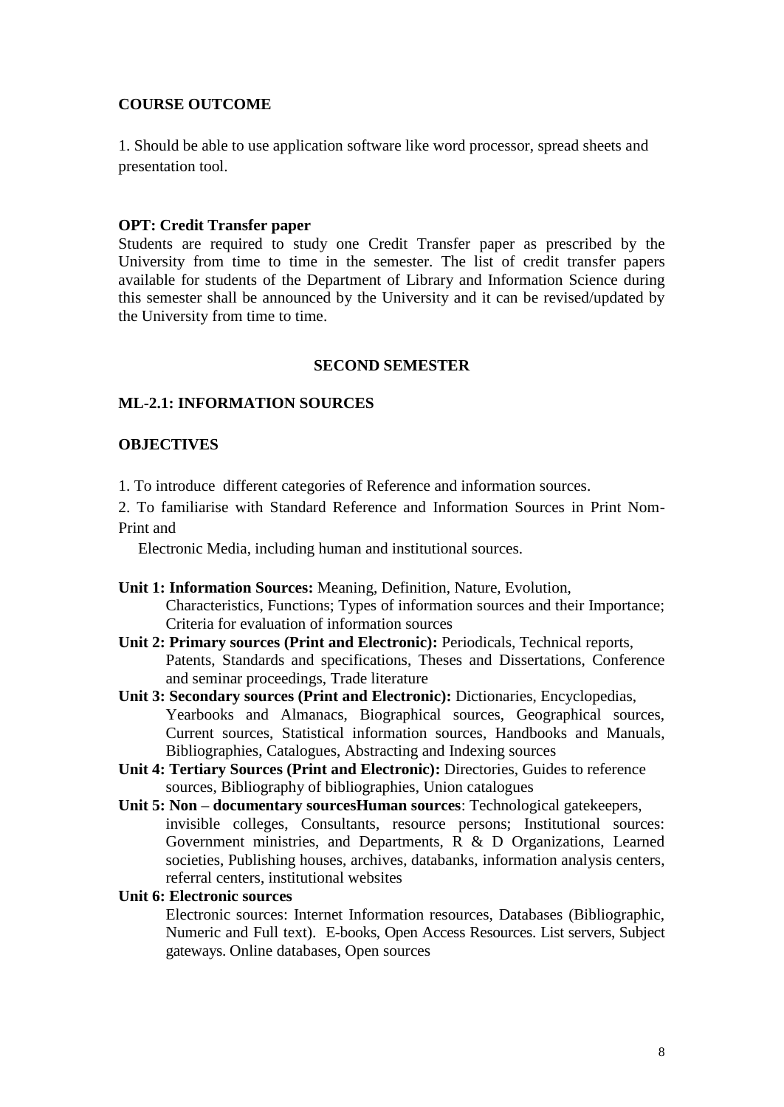## **COURSE OUTCOME**

1. Should be able to use application software like word processor, spread sheets and presentation tool.

#### **OPT: Credit Transfer paper**

Students are required to study one Credit Transfer paper as prescribed by the University from time to time in the semester. The list of credit transfer papers available for students of the Department of Library and Information Science during this semester shall be announced by the University and it can be revised/updated by the University from time to time.

#### **SECOND SEMESTER**

#### **ML-2.1: INFORMATION SOURCES**

### **OBJECTIVES**

1. To introduce different categories of Reference and information sources.

2. To familiarise with Standard Reference and Information Sources in Print Nom-Print and

Electronic Media, including human and institutional sources.

- **Unit 1: Information Sources:** Meaning, Definition, Nature, Evolution, Characteristics, Functions; Types of information sources and their Importance; Criteria for evaluation of information sources
- **Unit 2: Primary sources (Print and Electronic):** Periodicals, Technical reports, Patents, Standards and specifications, Theses and Dissertations, Conference and seminar proceedings, Trade literature
- **Unit 3: Secondary sources (Print and Electronic):** Dictionaries, Encyclopedias, Yearbooks and Almanacs, Biographical sources, Geographical sources, Current sources, Statistical information sources, Handbooks and Manuals, Bibliographies, Catalogues, Abstracting and Indexing sources
- **Unit 4: Tertiary Sources (Print and Electronic):** Directories, Guides to reference sources, Bibliography of bibliographies, Union catalogues
- **Unit 5: Non – documentary sourcesHuman sources**: Technological gatekeepers, invisible colleges, Consultants, resource persons; Institutional sources: Government ministries, and Departments, R & D Organizations, Learned societies, Publishing houses, archives, databanks, information analysis centers, referral centers, institutional websites

#### **Unit 6: Electronic sources**

Electronic sources: Internet Information resources, Databases (Bibliographic, Numeric and Full text). E-books, Open Access Resources. List servers, Subject gateways. Online databases, Open sources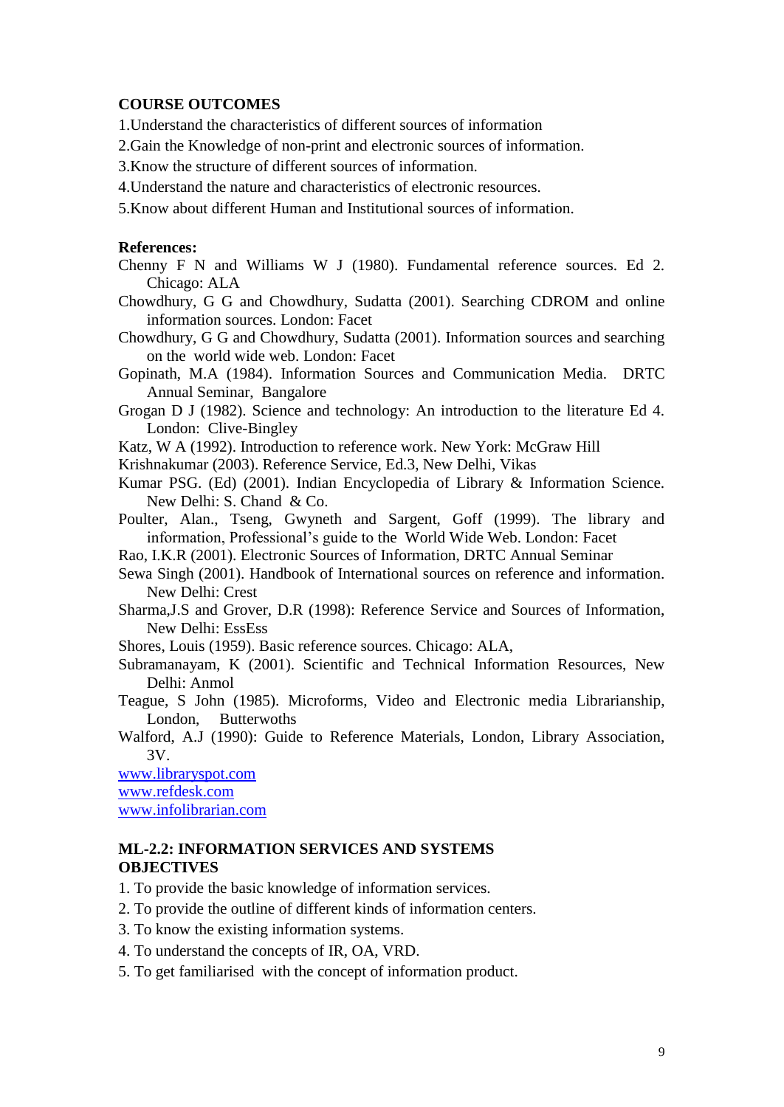### **COURSE OUTCOMES**

- 1.Understand the characteristics of different sources of information
- 2.Gain the Knowledge of non-print and electronic sources of information.
- 3.Know the structure of different sources of information.
- 4.Understand the nature and characteristics of electronic resources.
- 5.Know about different Human and Institutional sources of information.

#### **References:**

- Chenny F N and Williams W J (1980). Fundamental reference sources. Ed 2. Chicago: ALA
- Chowdhury, G G and Chowdhury, Sudatta (2001). Searching CDROM and online information sources. London: Facet
- Chowdhury, G G and Chowdhury, Sudatta (2001). Information sources and searching on the world wide web. London: Facet
- Gopinath, M.A (1984). Information Sources and Communication Media. DRTC Annual Seminar, Bangalore
- Grogan D J (1982). Science and technology: An introduction to the literature Ed 4. London: Clive-Bingley
- Katz, W A (1992). Introduction to reference work. New York: McGraw Hill
- Krishnakumar (2003). Reference Service, Ed.3, New Delhi, Vikas
- Kumar PSG. (Ed) (2001). Indian Encyclopedia of Library & Information Science. New Delhi: S. Chand & Co.
- Poulter, Alan., Tseng, Gwyneth and Sargent, Goff (1999). The library and information, Professional's guide to the World Wide Web. London: Facet
- Rao, I.K.R (2001). Electronic Sources of Information, DRTC Annual Seminar
- Sewa Singh (2001). Handbook of International sources on reference and information. New Delhi: Crest
- Sharma,J.S and Grover, D.R (1998): Reference Service and Sources of Information, New Delhi: EssEss
- Shores, Louis (1959). Basic reference sources. Chicago: ALA,
- Subramanayam, K (2001). Scientific and Technical Information Resources, New Delhi: Anmol
- Teague, S John (1985). Microforms, Video and Electronic media Librarianship, London, Butterwoths
- Walford, A.J (1990): Guide to Reference Materials, London, Library Association, 3V.

[www.libraryspot.com](http://www.libraryspot.com/) [www.refdesk.com](http://www.refdesk.com/) [www.infolibrarian.com](http://www.infolibrarian.com/)

### **ML-2.2: INFORMATION SERVICES AND SYSTEMS OBJECTIVES**

- 1. To provide the basic knowledge of information services.
- 2. To provide the outline of different kinds of information centers.
- 3. To know the existing information systems.
- 4. To understand the concepts of IR, OA, VRD.
- 5. To get familiarised with the concept of information product.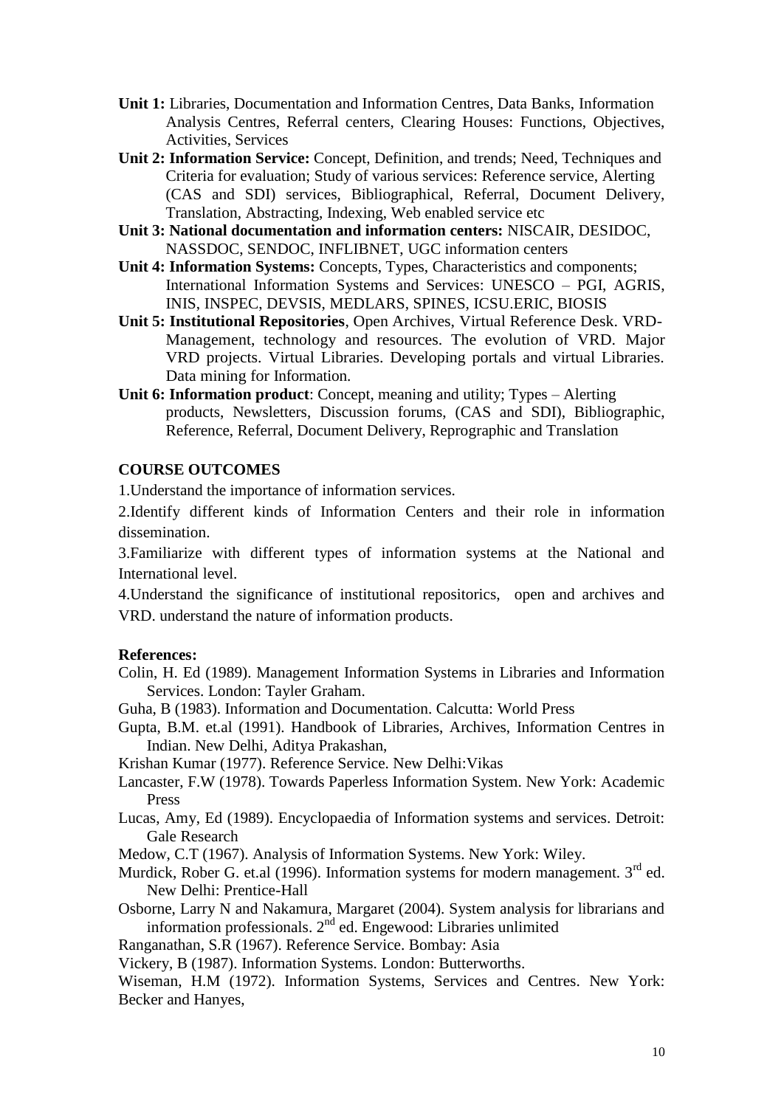- **Unit 1:** Libraries, Documentation and Information Centres, Data Banks, Information Analysis Centres, Referral centers, Clearing Houses: Functions, Objectives, Activities, Services
- **Unit 2: Information Service:** Concept, Definition, and trends; Need, Techniques and Criteria for evaluation; Study of various services: Reference service, Alerting (CAS and SDI) services, Bibliographical, Referral, Document Delivery, Translation, Abstracting, Indexing, Web enabled service etc
- **Unit 3: National documentation and information centers:** NISCAIR, DESIDOC, NASSDOC, SENDOC, INFLIBNET, UGC information centers
- **Unit 4: Information Systems:** Concepts, Types, Characteristics and components; International Information Systems and Services: UNESCO – PGI, AGRIS, INIS, INSPEC, DEVSIS, MEDLARS, SPINES, ICSU.ERIC, BIOSIS
- **Unit 5: Institutional Repositories**, Open Archives, Virtual Reference Desk. VRD-Management, technology and resources. The evolution of VRD. Major VRD projects. Virtual Libraries. Developing portals and virtual Libraries. Data mining for Information.
- **Unit 6: Information product**: Concept, meaning and utility; Types Alerting products, Newsletters, Discussion forums, (CAS and SDI), Bibliographic, Reference, Referral, Document Delivery, Reprographic and Translation

### **COURSE OUTCOMES**

1.Understand the importance of information services.

2.Identify different kinds of Information Centers and their role in information dissemination.

3.Familiarize with different types of information systems at the National and International level.

4.Understand the significance of institutional repositorics, open and archives and VRD. understand the nature of information products.

#### **References:**

Colin, H. Ed (1989). Management Information Systems in Libraries and Information Services. London: Tayler Graham.

Guha, B (1983). Information and Documentation. Calcutta: World Press

Gupta, B.M. et.al (1991). Handbook of Libraries, Archives, Information Centres in Indian. New Delhi, Aditya Prakashan,

Krishan Kumar (1977). Reference Service. New Delhi:Vikas

- Lancaster, F.W (1978). Towards Paperless Information System. New York: Academic Press
- Lucas, Amy, Ed (1989). Encyclopaedia of Information systems and services. Detroit: Gale Research
- Medow, C.T (1967). Analysis of Information Systems. New York: Wiley.
- Murdick, Rober G. et.al (1996). Information systems for modern management.  $3<sup>rd</sup>$  ed. New Delhi: Prentice-Hall
- Osborne, Larry N and Nakamura, Margaret (2004). System analysis for librarians and information professionals. 2<sup>nd</sup> ed. Engewood: Libraries unlimited

Ranganathan, S.R (1967). Reference Service. Bombay: Asia

Vickery, B (1987). Information Systems. London: Butterworths.

Wiseman, H.M (1972). Information Systems, Services and Centres. New York: Becker and Hanyes,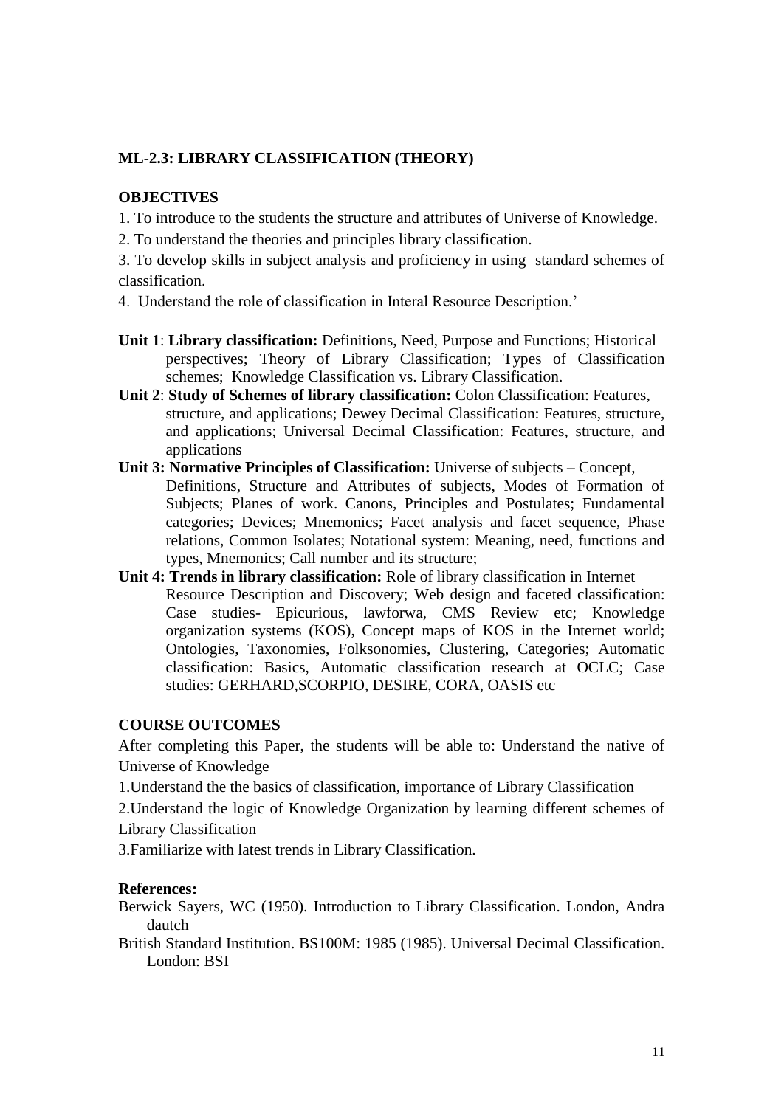# **ML-2.3: LIBRARY CLASSIFICATION (THEORY)**

### **OBJECTIVES**

1. To introduce to the students the structure and attributes of Universe of Knowledge.

2. To understand the theories and principles library classification.

3. To develop skills in subject analysis and proficiency in using standard schemes of classification.

- 4. Understand the role of classification in Interal Resource Description.'
- **Unit 1**: **Library classification:** Definitions, Need, Purpose and Functions; Historical perspectives; Theory of Library Classification; Types of Classification schemes; Knowledge Classification vs. Library Classification.
- **Unit 2**: **Study of Schemes of library classification:** Colon Classification: Features, structure, and applications; Dewey Decimal Classification: Features, structure, and applications; Universal Decimal Classification: Features, structure, and applications
- **Unit 3: Normative Principles of Classification:** Universe of subjects Concept, Definitions, Structure and Attributes of subjects, Modes of Formation of Subjects; Planes of work. Canons, Principles and Postulates; Fundamental categories; Devices; Mnemonics; Facet analysis and facet sequence, Phase relations, Common Isolates; Notational system: Meaning, need, functions and types, Mnemonics; Call number and its structure;
- **Unit 4: Trends in library classification:** Role of library classification in Internet Resource Description and Discovery; Web design and faceted classification: Case studies- Epicurious, lawforwa, CMS Review etc; Knowledge organization systems (KOS), Concept maps of KOS in the Internet world; Ontologies, Taxonomies, Folksonomies, Clustering, Categories; Automatic classification: Basics, Automatic classification research at OCLC; Case studies: GERHARD,SCORPIO, DESIRE, CORA, OASIS etc

### **COURSE OUTCOMES**

After completing this Paper, the students will be able to: Understand the native of Universe of Knowledge

1.Understand the the basics of classification, importance of Library Classification

2.Understand the logic of Knowledge Organization by learning different schemes of

Library Classification

3.Familiarize with latest trends in Library Classification.

### **References:**

Berwick Sayers, WC (1950). Introduction to Library Classification. London, Andra dautch

British Standard Institution. BS100M: 1985 (1985). Universal Decimal Classification. London: BSI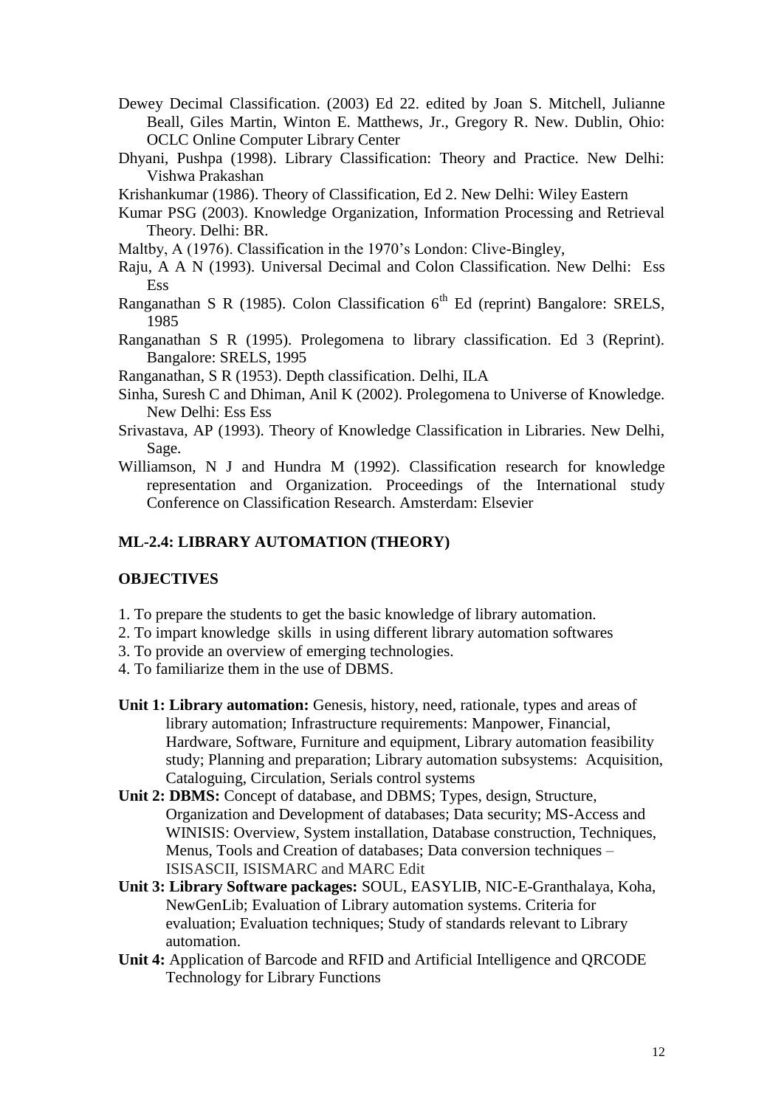- Dewey Decimal Classification. (2003) Ed 22. edited by Joan S. Mitchell, Julianne Beall, Giles Martin, Winton E. Matthews, Jr., Gregory R. New. Dublin, Ohio: OCLC Online Computer Library Center
- Dhyani, Pushpa (1998). Library Classification: Theory and Practice. New Delhi: Vishwa Prakashan
- Krishankumar (1986). Theory of Classification, Ed 2. New Delhi: Wiley Eastern
- Kumar PSG (2003). Knowledge Organization, Information Processing and Retrieval Theory. Delhi: BR.
- Maltby, A (1976). Classification in the 1970's London: Clive-Bingley,
- Raju, A A N (1993). Universal Decimal and Colon Classification. New Delhi: Ess Ess
- Ranganathan S R (1985). Colon Classification  $6<sup>th</sup>$  Ed (reprint) Bangalore: SRELS, 1985
- Ranganathan S R (1995). Prolegomena to library classification. Ed 3 (Reprint). Bangalore: SRELS, 1995

Ranganathan, S R (1953). Depth classification. Delhi, ILA

- Sinha, Suresh C and Dhiman, Anil K (2002). Prolegomena to Universe of Knowledge. New Delhi: Ess Ess
- Srivastava, AP (1993). Theory of Knowledge Classification in Libraries. New Delhi, Sage.
- Williamson, N J and Hundra M (1992). Classification research for knowledge representation and Organization. Proceedings of the International study Conference on Classification Research. Amsterdam: Elsevier

### **ML-2.4: LIBRARY AUTOMATION (THEORY)**

### **OBJECTIVES**

- 1. To prepare the students to get the basic knowledge of library automation.
- 2. To impart knowledge skills in using different library automation softwares
- 3. To provide an overview of emerging technologies.
- 4. To familiarize them in the use of DBMS.
- **Unit 1: Library automation:** Genesis, history, need, rationale, types and areas of library automation; Infrastructure requirements: Manpower, Financial, Hardware, Software, Furniture and equipment, Library automation feasibility study; Planning and preparation; Library automation subsystems: Acquisition, Cataloguing, Circulation, Serials control systems
- **Unit 2: DBMS:** Concept of database, and DBMS; Types, design, Structure, Organization and Development of databases; Data security; MS-Access and WINISIS: Overview, System installation, Database construction, Techniques, Menus, Tools and Creation of databases; Data conversion techniques – ISISASCII, ISISMARC and MARC Edit
- **Unit 3: Library Software packages:** SOUL, EASYLIB, NIC-E-Granthalaya, Koha, NewGenLib; Evaluation of Library automation systems. Criteria for evaluation; Evaluation techniques; Study of standards relevant to Library automation.
- **Unit 4:** Application of Barcode and RFID and Artificial Intelligence and QRCODE Technology for Library Functions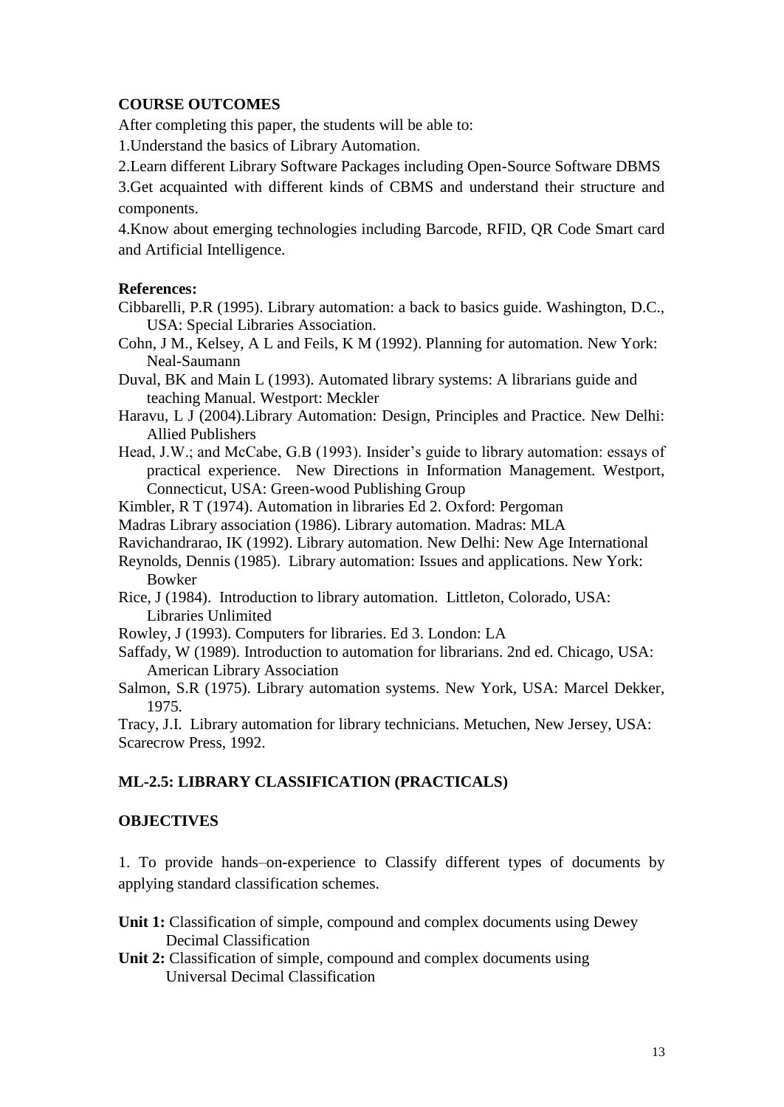### **COURSE OUTCOMES**

After completing this paper, the students will be able to:

1.Understand the basics of Library Automation.

2.Learn different Library Software Packages including Open-Source Software DBMS

3.Get acquainted with different kinds of CBMS and understand their structure and components.

4.Know about emerging technologies including Barcode, RFID, QR Code Smart card and Artificial Intelligence.

### **References:**

- Cibbarelli, P.R (1995). Library automation: a back to basics guide. Washington, D.C., USA: Special Libraries Association.
- Cohn, J M., Kelsey, A L and Feils, K M (1992). Planning for automation. New York: Neal-Saumann
- Duval, BK and Main L (1993). Automated library systems: A librarians guide and teaching Manual. Westport: Meckler
- Haravu, L J (2004).Library Automation: Design, Principles and Practice. New Delhi: Allied Publishers
- Head, J.W.; and McCabe, G.B (1993). Insider's guide to library automation: essays of practical experience. New Directions in Information Management. Westport, Connecticut, USA: Green-wood Publishing Group

Kimbler, R T (1974). Automation in libraries Ed 2. Oxford: Pergoman

- Madras Library association (1986). Library automation. Madras: MLA
- Ravichandrarao, IK (1992). Library automation. New Delhi: New Age International
- Reynolds, Dennis (1985). Library automation: Issues and applications. New York: Bowker
- Rice, J (1984). Introduction to library automation. Littleton, Colorado, USA: Libraries Unlimited
- Rowley, J (1993). Computers for libraries. Ed 3. London: LA
- Saffady, W (1989). Introduction to automation for librarians. 2nd ed. Chicago, USA: American Library Association
- Salmon, S.R (1975). Library automation systems. New York, USA: Marcel Dekker, 1975.

Tracy, J.I. Library automation for library technicians. Metuchen, New Jersey, USA: Scarecrow Press, 1992.

### **ML-2.5: LIBRARY CLASSIFICATION (PRACTICALS)**

### **OBJECTIVES**

1. To provide hands–on-experience to Classify different types of documents by applying standard classification schemes.

- **Unit 1:** Classification of simple, compound and complex documents using Dewey Decimal Classification
- **Unit 2:** Classification of simple, compound and complex documents using Universal Decimal Classification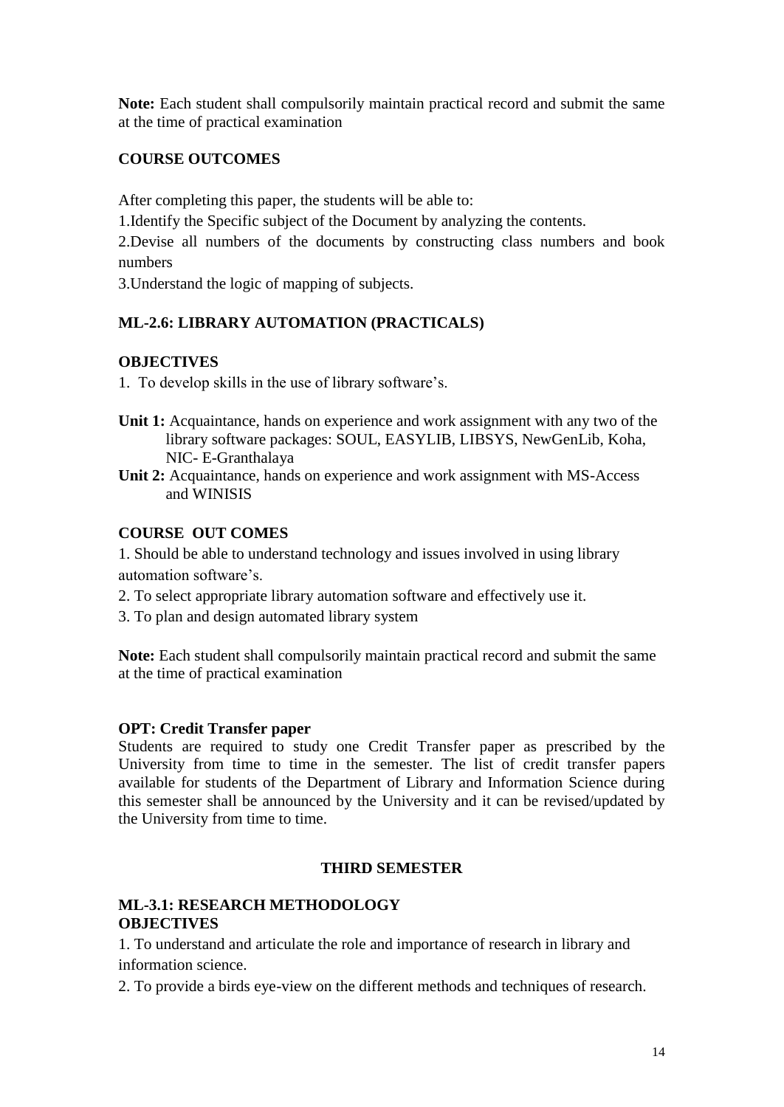**Note:** Each student shall compulsorily maintain practical record and submit the same at the time of practical examination

# **COURSE OUTCOMES**

After completing this paper, the students will be able to:

1.Identify the Specific subject of the Document by analyzing the contents.

2.Devise all numbers of the documents by constructing class numbers and book numbers

3.Understand the logic of mapping of subjects.

# **ML-2.6: LIBRARY AUTOMATION (PRACTICALS)**

## **OBJECTIVES**

1. To develop skills in the use of library software's.

- **Unit 1:** Acquaintance, hands on experience and work assignment with any two of the library software packages: SOUL, EASYLIB, LIBSYS, NewGenLib, Koha, NIC- E-Granthalaya
- **Unit 2:** Acquaintance, hands on experience and work assignment with MS-Access and WINISIS

## **COURSE OUT COMES**

1. Should be able to understand technology and issues involved in using library automation software's.

- 2. To select appropriate library automation software and effectively use it.
- 3. To plan and design automated library system

**Note:** Each student shall compulsorily maintain practical record and submit the same at the time of practical examination

## **OPT: Credit Transfer paper**

Students are required to study one Credit Transfer paper as prescribed by the University from time to time in the semester. The list of credit transfer papers available for students of the Department of Library and Information Science during this semester shall be announced by the University and it can be revised/updated by the University from time to time.

## **THIRD SEMESTER**

### **ML-3.1: RESEARCH METHODOLOGY OBJECTIVES**

1. To understand and articulate the role and importance of research in library and information science.

2. To provide a birds eye-view on the different methods and techniques of research.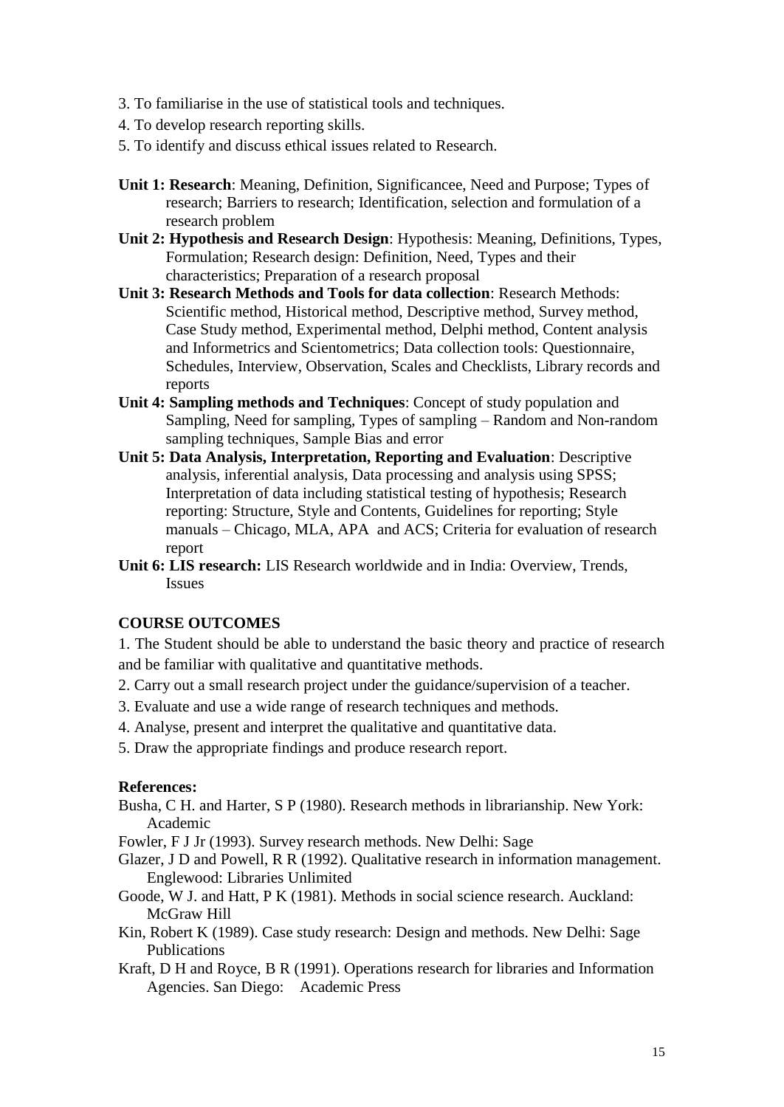- 3. To familiarise in the use of statistical tools and techniques.
- 4. To develop research reporting skills.
- 5. To identify and discuss ethical issues related to Research.
- **Unit 1: Research**: Meaning, Definition, Significancee, Need and Purpose; Types of research; Barriers to research; Identification, selection and formulation of a research problem
- **Unit 2: Hypothesis and Research Design**: Hypothesis: Meaning, Definitions, Types, Formulation; Research design: Definition, Need, Types and their characteristics; Preparation of a research proposal
- **Unit 3: Research Methods and Tools for data collection**: Research Methods: Scientific method, Historical method, Descriptive method, Survey method, Case Study method, Experimental method, Delphi method, Content analysis and Informetrics and Scientometrics; Data collection tools: Questionnaire, Schedules, Interview, Observation, Scales and Checklists, Library records and reports
- **Unit 4: Sampling methods and Techniques**: Concept of study population and Sampling, Need for sampling, Types of sampling – Random and Non-random sampling techniques, Sample Bias and error
- **Unit 5: Data Analysis, Interpretation, Reporting and Evaluation**: Descriptive analysis, inferential analysis, Data processing and analysis using SPSS; Interpretation of data including statistical testing of hypothesis; Research reporting: Structure, Style and Contents, Guidelines for reporting; Style manuals – Chicago, MLA, APA and ACS; Criteria for evaluation of research report
- **Unit 6: LIS research:** LIS Research worldwide and in India: Overview, Trends, Issues

#### **COURSE OUTCOMES**

1. The Student should be able to understand the basic theory and practice of research and be familiar with qualitative and quantitative methods.

- 2. Carry out a small research project under the guidance/supervision of a teacher.
- 3. Evaluate and use a wide range of research techniques and methods.
- 4. Analyse, present and interpret the qualitative and quantitative data.
- 5. Draw the appropriate findings and produce research report.

#### **References:**

- Busha, C H. and Harter, S P (1980). Research methods in librarianship. New York: Academic
- Fowler, F J Jr (1993). Survey research methods. New Delhi: Sage
- Glazer, J D and Powell, R R (1992). Qualitative research in information management. Englewood: Libraries Unlimited
- Goode, W J. and Hatt, P K (1981). Methods in social science research. Auckland: McGraw Hill
- Kin, Robert K (1989). Case study research: Design and methods. New Delhi: Sage Publications
- Kraft, D H and Royce, B R (1991). Operations research for libraries and Information Agencies. San Diego: Academic Press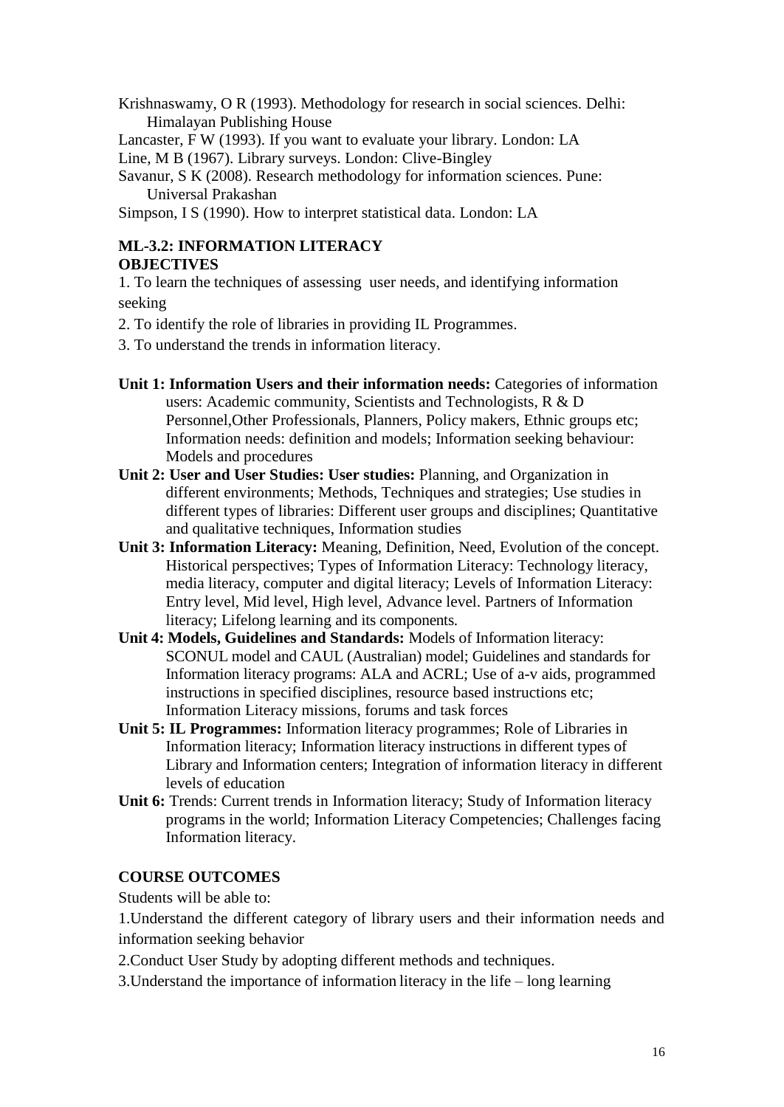Krishnaswamy, O R (1993). Methodology for research in social sciences. Delhi: Himalayan Publishing House

Lancaster, F W (1993). If you want to evaluate your library. London: LA

Line, M B (1967). Library surveys. London: Clive-Bingley

Savanur, S K (2008). Research methodology for information sciences. Pune: Universal Prakashan

Simpson, I S (1990). How to interpret statistical data. London: LA

## **ML-3.2: INFORMATION LITERACY OBJECTIVES**

1. To learn the techniques of assessing user needs, and identifying information seeking

- 2. To identify the role of libraries in providing IL Programmes.
- 3. To understand the trends in information literacy.
- **Unit 1: Information Users and their information needs:** Categories of information users: Academic community, Scientists and Technologists, R & D Personnel,Other Professionals, Planners, Policy makers, Ethnic groups etc; Information needs: definition and models; Information seeking behaviour: Models and procedures
- **Unit 2: User and User Studies: User studies:** Planning, and Organization in different environments; Methods, Techniques and strategies; Use studies in different types of libraries: Different user groups and disciplines; Quantitative and qualitative techniques, Information studies
- **Unit 3: Information Literacy:** Meaning, Definition, Need, Evolution of the concept. Historical perspectives; Types of Information Literacy: Technology literacy, media literacy, computer and digital literacy; Levels of Information Literacy: Entry level, Mid level, High level, Advance level. Partners of Information literacy; Lifelong learning and its components.
- **Unit 4: Models, Guidelines and Standards:** Models of Information literacy: SCONUL model and CAUL (Australian) model; Guidelines and standards for Information literacy programs: ALA and ACRL; Use of a-v aids, programmed instructions in specified disciplines, resource based instructions etc; Information Literacy missions, forums and task forces
- **Unit 5: IL Programmes:** Information literacy programmes; Role of Libraries in Information literacy; Information literacy instructions in different types of Library and Information centers; Integration of information literacy in different levels of education
- Unit 6: Trends: Current trends in Information literacy; Study of Information literacy programs in the world; Information Literacy Competencies; Challenges facing Information literacy.

## **COURSE OUTCOMES**

Students will be able to:

1.Understand the different category of library users and their information needs and information seeking behavior

2.Conduct User Study by adopting different methods and techniques.

3.Understand the importance of information literacy in the life – long learning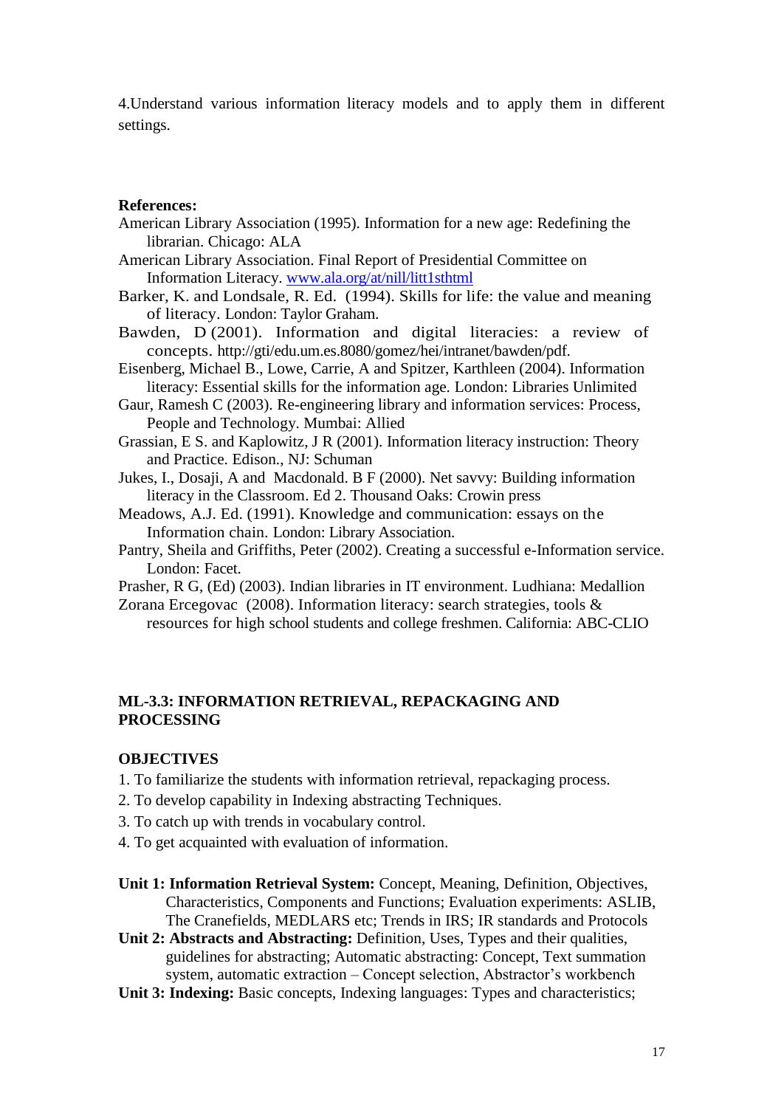4.Understand various information literacy models and to apply them in different settings.

#### **References:**

- American Library Association (1995). Information for a new age: Redefining the librarian. Chicago: ALA
- American Library Association. Final Report of Presidential Committee on Information Literacy. [www.ala.org/at/nill/litt1sthtml](http://www.ala.org/at/nill/litt1sthtml)
- Barker, K. and Londsale, R. Ed. (1994). Skills for life: the value and meaning of literacy. London: Taylor Graham.
- Bawden, D (2001). Information and digital literacies: a review of concepts. http://gti/edu.um.es.8080/gomez/hei/intranet/bawden/pdf.
- Eisenberg, Michael B., Lowe, Carrie, A and Spitzer, Karthleen (2004). Information literacy: Essential skills for the information age. London: Libraries Unlimited
- Gaur, Ramesh C (2003). Re-engineering library and information services: Process, People and Technology. Mumbai: Allied
- Grassian, E S. and Kaplowitz, J R (2001). Information literacy instruction: Theory and Practice. Edison., NJ: Schuman

Jukes, I., Dosaji, A and Macdonald. B F (2000). Net savvy: Building information literacy in the Classroom. Ed 2. Thousand Oaks: Crowin press

- Meadows, A.J. Ed. (1991). Knowledge and communication: essays on the Information chain. London: Library Association.
- Pantry, Sheila and Griffiths, Peter (2002). Creating a successful e-Information service. London: Facet.
- Prasher, R G, (Ed) (2003). Indian libraries in IT environment. Ludhiana: Medallion
- Zorana Ercegovac (2008). Information literacy: search strategies, tools & resources for high school students and college freshmen. California: ABC-CLIO

### **ML-3.3: INFORMATION RETRIEVAL, REPACKAGING AND PROCESSING**

#### **OBJECTIVES**

- 1. To familiarize the students with information retrieval, repackaging process.
- 2. To develop capability in Indexing abstracting Techniques.
- 3. To catch up with trends in vocabulary control.
- 4. To get acquainted with evaluation of information.
- **Unit 1: Information Retrieval System:** Concept, Meaning, Definition, Objectives, Characteristics, Components and Functions; Evaluation experiments: ASLIB, The Cranefields, MEDLARS etc; Trends in IRS; IR standards and Protocols
- **Unit 2: Abstracts and Abstracting:** Definition, Uses, Types and their qualities, guidelines for abstracting; Automatic abstracting: Concept, Text summation system, automatic extraction – Concept selection, Abstractor's workbench
- **Unit 3: Indexing:** Basic concepts, Indexing languages: Types and characteristics;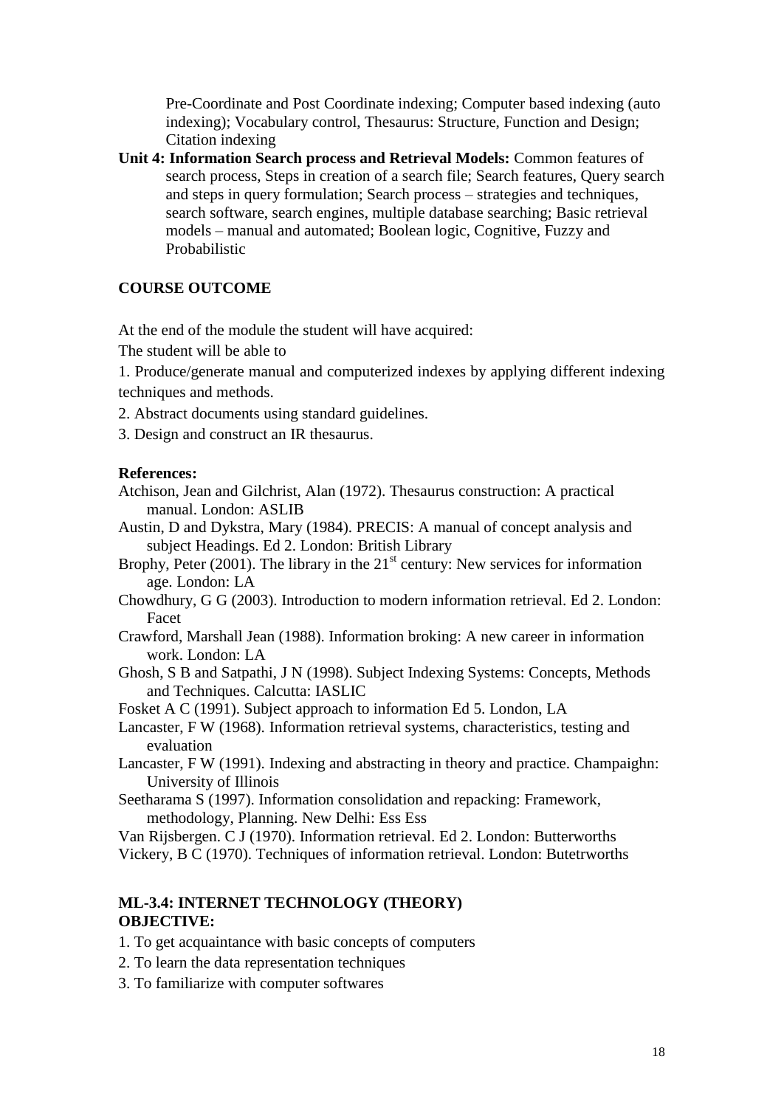Pre-Coordinate and Post Coordinate indexing; Computer based indexing (auto indexing); Vocabulary control, Thesaurus: Structure, Function and Design; Citation indexing

**Unit 4: Information Search process and Retrieval Models:** Common features of search process, Steps in creation of a search file; Search features, Query search and steps in query formulation; Search process – strategies and techniques, search software, search engines, multiple database searching; Basic retrieval models – manual and automated; Boolean logic, Cognitive, Fuzzy and Probabilistic

### **COURSE OUTCOME**

At the end of the module the student will have acquired:

The student will be able to

1. Produce/generate manual and computerized indexes by applying different indexing techniques and methods.

- 2. Abstract documents using standard guidelines.
- 3. Design and construct an IR thesaurus.

#### **References:**

Atchison, Jean and Gilchrist, Alan (1972). Thesaurus construction: A practical manual. London: ASLIB

Austin, D and Dykstra, Mary (1984). PRECIS: A manual of concept analysis and subject Headings. Ed 2. London: British Library

Brophy, Peter  $(2001)$ . The library in the  $21<sup>st</sup>$  century: New services for information age. London: LA

- Chowdhury, G G (2003). Introduction to modern information retrieval. Ed 2. London: Facet
- Crawford, Marshall Jean (1988). Information broking: A new career in information work. London: LA
- Ghosh, S B and Satpathi, J N (1998). Subject Indexing Systems: Concepts, Methods and Techniques. Calcutta: IASLIC

Fosket A C (1991). Subject approach to information Ed 5. London, LA

Lancaster, F W (1968). Information retrieval systems, characteristics, testing and evaluation

- Lancaster, F W (1991). Indexing and abstracting in theory and practice. Champaighn: University of Illinois
- Seetharama S (1997). Information consolidation and repacking: Framework, methodology, Planning. New Delhi: Ess Ess

Van Rijsbergen. C J (1970). Information retrieval. Ed 2. London: Butterworths Vickery, B C (1970). Techniques of information retrieval. London: Butetrworths

# **ML-3.4: INTERNET TECHNOLOGY (THEORY) OBJECTIVE:**

- 1. To get acquaintance with basic concepts of computers
- 2. To learn the data representation techniques
- 3. To familiarize with computer softwares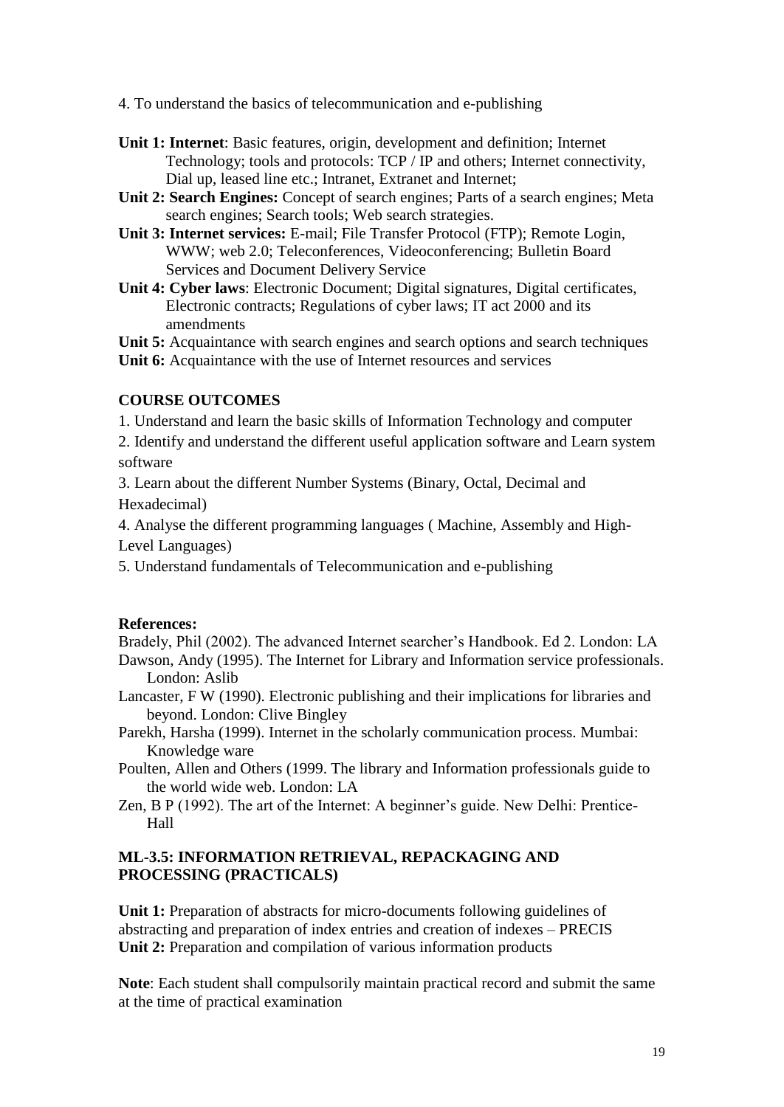4. To understand the basics of telecommunication and e-publishing

- **Unit 1: Internet**: Basic features, origin, development and definition; Internet Technology; tools and protocols: TCP / IP and others; Internet connectivity, Dial up, leased line etc.; Intranet, Extranet and Internet;
- **Unit 2: Search Engines:** Concept of search engines; Parts of a search engines; Meta search engines; Search tools; Web search strategies.
- **Unit 3: Internet services:** E-mail; File Transfer Protocol (FTP); Remote Login, WWW; web 2.0; Teleconferences, Videoconferencing; Bulletin Board Services and Document Delivery Service
- **Unit 4: Cyber laws**: Electronic Document; Digital signatures, Digital certificates, Electronic contracts; Regulations of cyber laws; IT act 2000 and its amendments
- **Unit 5:** Acquaintance with search engines and search options and search techniques
- **Unit 6:** Acquaintance with the use of Internet resources and services

### **COURSE OUTCOMES**

1. Understand and learn the basic skills of Information Technology and computer

- 2. Identify and understand the different useful application software and Learn system software
- 3. Learn about the different Number Systems (Binary, Octal, Decimal and Hexadecimal)

4. Analyse the different programming languages ( Machine, Assembly and High-Level Languages)

5. Understand fundamentals of Telecommunication and e-publishing

### **References:**

Bradely, Phil (2002). The advanced Internet searcher's Handbook. Ed 2. London: LA Dawson, Andy (1995). The Internet for Library and Information service professionals.

- London: Aslib
- Lancaster, F W (1990). Electronic publishing and their implications for libraries and beyond. London: Clive Bingley
- Parekh, Harsha (1999). Internet in the scholarly communication process. Mumbai: Knowledge ware
- Poulten, Allen and Others (1999. The library and Information professionals guide to the world wide web. London: LA
- Zen, B P (1992). The art of the Internet: A beginner's guide. New Delhi: Prentice-Hall

### **ML-3.5: INFORMATION RETRIEVAL, REPACKAGING AND PROCESSING (PRACTICALS)**

Unit 1: Preparation of abstracts for micro-documents following guidelines of abstracting and preparation of index entries and creation of indexes – PRECIS Unit 2: Preparation and compilation of various information products

**Note**: Each student shall compulsorily maintain practical record and submit the same at the time of practical examination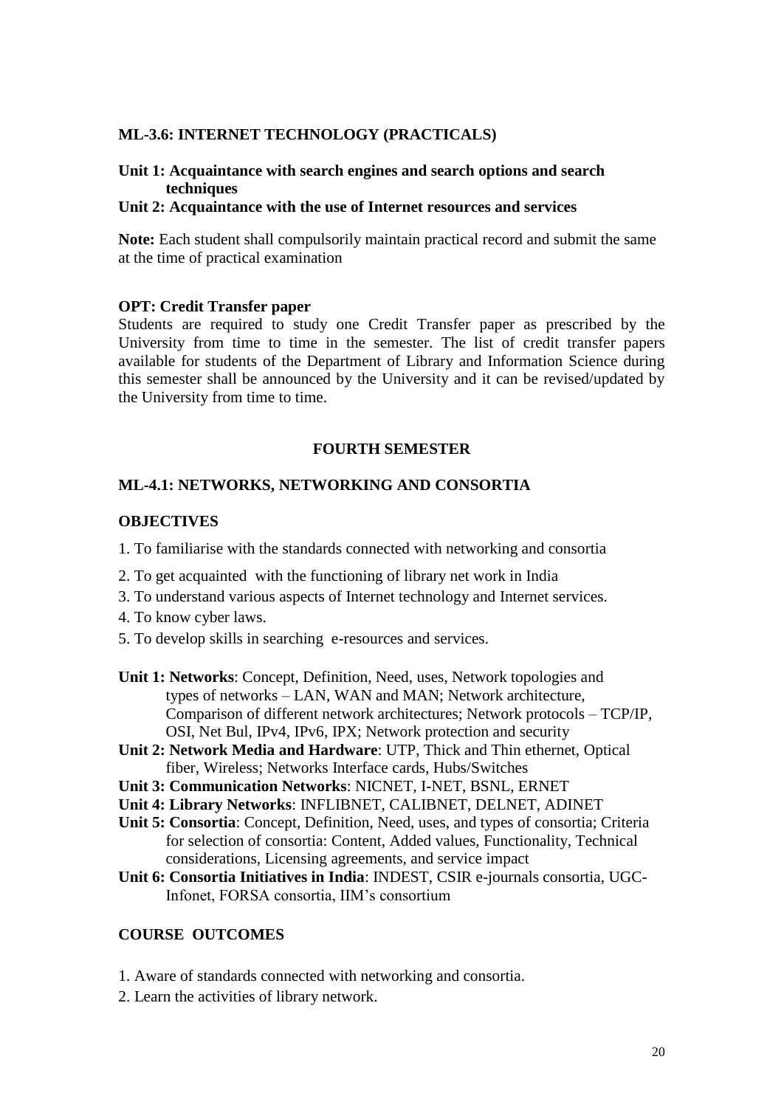#### **ML-3.6: INTERNET TECHNOLOGY (PRACTICALS)**

#### **Unit 1: Acquaintance with search engines and search options and search techniques**

### **Unit 2: Acquaintance with the use of Internet resources and services**

**Note:** Each student shall compulsorily maintain practical record and submit the same at the time of practical examination

#### **OPT: Credit Transfer paper**

Students are required to study one Credit Transfer paper as prescribed by the University from time to time in the semester. The list of credit transfer papers available for students of the Department of Library and Information Science during this semester shall be announced by the University and it can be revised/updated by the University from time to time.

### **FOURTH SEMESTER**

### **ML-4.1: NETWORKS, NETWORKING AND CONSORTIA**

#### **OBJECTIVES**

- 1. To familiarise with the standards connected with networking and consortia
- 2. To get acquainted with the functioning of library net work in India
- 3. To understand various aspects of Internet technology and Internet services.
- 4. To know cyber laws.
- 5. To develop skills in searching e-resources and services.
- **Unit 1: Networks**: Concept, Definition, Need, uses, Network topologies and types of networks – LAN, WAN and MAN; Network architecture, Comparison of different network architectures; Network protocols – TCP/IP, OSI, Net Bul, IPv4, IPv6, IPX; Network protection and security
- **Unit 2: Network Media and Hardware**: UTP, Thick and Thin ethernet, Optical fiber, Wireless; Networks Interface cards, Hubs/Switches
- **Unit 3: Communication Networks**: NICNET, I-NET, BSNL, ERNET
- **Unit 4: Library Networks**: INFLIBNET, CALIBNET, DELNET, ADINET
- **Unit 5: Consortia**: Concept, Definition, Need, uses, and types of consortia; Criteria for selection of consortia: Content, Added values, Functionality, Technical considerations, Licensing agreements, and service impact
- **Unit 6: Consortia Initiatives in India**: INDEST, CSIR e-journals consortia, UGC-Infonet, FORSA consortia, IIM's consortium

### **COURSE OUTCOMES**

- 1. Aware of standards connected with networking and consortia.
- 2. Learn the activities of library network.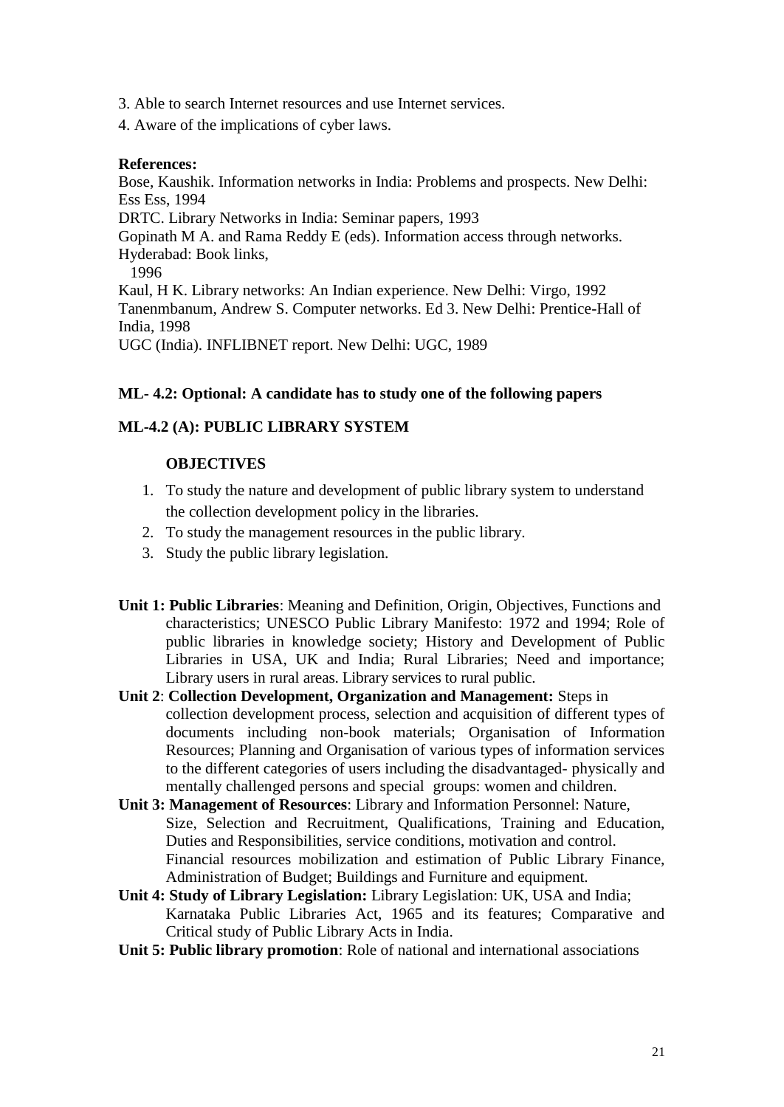- 3. Able to search Internet resources and use Internet services.
- 4. Aware of the implications of cyber laws.

### **References:**

Bose, Kaushik. Information networks in India: Problems and prospects. New Delhi: Ess Ess, 1994 DRTC. Library Networks in India: Seminar papers, 1993 Gopinath M A. and Rama Reddy E (eds). Information access through networks. Hyderabad: Book links, 1996 Kaul, H K. Library networks: An Indian experience. New Delhi: Virgo, 1992 Tanenmbanum, Andrew S. Computer networks. Ed 3. New Delhi: Prentice-Hall of India, 1998

UGC (India). INFLIBNET report. New Delhi: UGC, 1989

## **ML- 4.2: Optional: A candidate has to study one of the following papers**

# **ML-4.2 (A): PUBLIC LIBRARY SYSTEM**

# **OBJECTIVES**

- 1. To study the nature and development of public library system to understand the collection development policy in the libraries.
- 2. To study the management resources in the public library.
- 3. Study the public library legislation.
- **Unit 1: Public Libraries**: Meaning and Definition, Origin, Objectives, Functions and characteristics; UNESCO Public Library Manifesto: 1972 and 1994; Role of public libraries in knowledge society; History and Development of Public Libraries in USA, UK and India; Rural Libraries; Need and importance; Library users in rural areas. Library services to rural public.
- **Unit 2**: **Collection Development, Organization and Management:** Steps in collection development process, selection and acquisition of different types of documents including non-book materials; Organisation of Information Resources; Planning and Organisation of various types of information services to the different categories of users including the disadvantaged- physically and mentally challenged persons and special groups: women and children.
- **Unit 3: Management of Resources**: Library and Information Personnel: Nature, Size, Selection and Recruitment, Qualifications, Training and Education, Duties and Responsibilities, service conditions, motivation and control. Financial resources mobilization and estimation of Public Library Finance, Administration of Budget; Buildings and Furniture and equipment.
- **Unit 4: Study of Library Legislation:** Library Legislation: UK, USA and India; Karnataka Public Libraries Act, 1965 and its features; Comparative and Critical study of Public Library Acts in India.
- **Unit 5: Public library promotion**: Role of national and international associations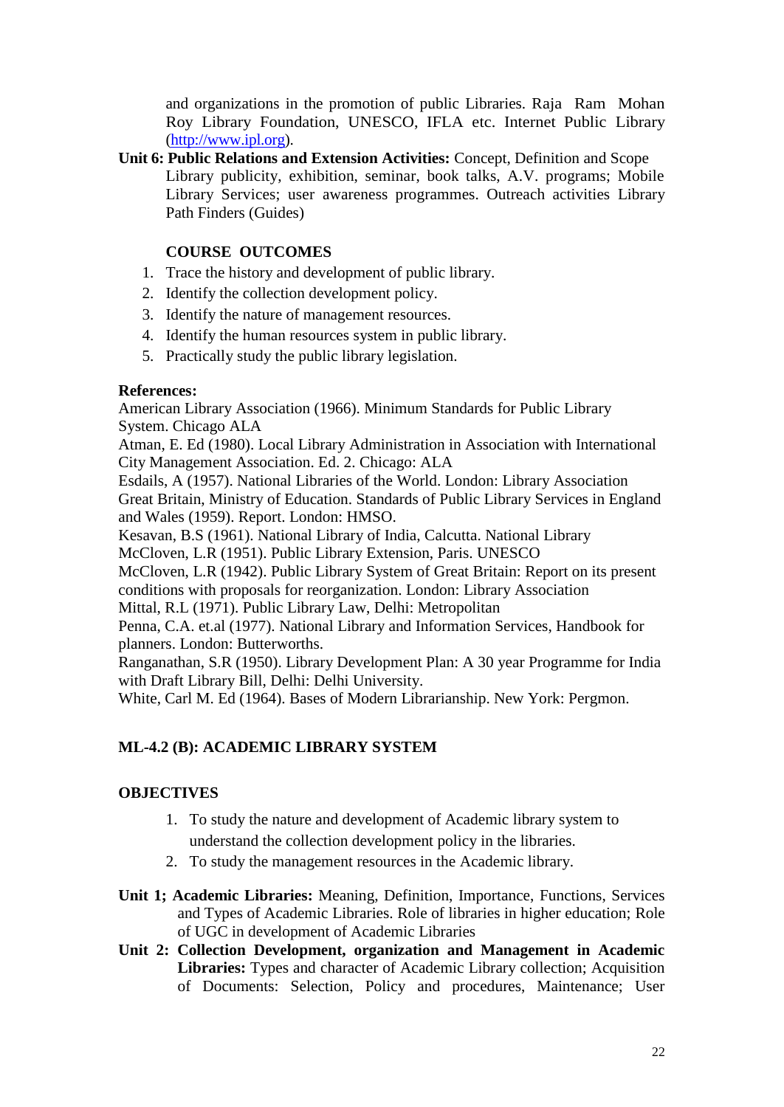and organizations in the promotion of public Libraries. Raja Ram Mohan Roy Library Foundation, UNESCO, IFLA etc. Internet Public Library [\(http://www.ipl.org\)](http://www.ipl.org/).

**Unit 6: Public Relations and Extension Activities:** Concept, Definition and Scope Library publicity, exhibition, seminar, book talks, A.V. programs; Mobile Library Services; user awareness programmes. Outreach activities Library Path Finders (Guides)

# **COURSE OUTCOMES**

- 1. Trace the history and development of public library.
- 2. Identify the collection development policy.
- 3. Identify the nature of management resources.
- 4. Identify the human resources system in public library.
- 5. Practically study the public library legislation.

## **References:**

American Library Association (1966). Minimum Standards for Public Library System. Chicago ALA

Atman, E. Ed (1980). Local Library Administration in Association with International City Management Association. Ed. 2. Chicago: ALA

Esdails, A (1957). National Libraries of the World. London: Library Association Great Britain, Ministry of Education. Standards of Public Library Services in England and Wales (1959). Report. London: HMSO.

Kesavan, B.S (1961). National Library of India, Calcutta. National Library

McCloven, L.R (1951). Public Library Extension, Paris. UNESCO

McCloven, L.R (1942). Public Library System of Great Britain: Report on its present conditions with proposals for reorganization. London: Library Association

Mittal, R.L (1971). Public Library Law, Delhi: Metropolitan

Penna, C.A. et.al (1977). National Library and Information Services, Handbook for planners. London: Butterworths.

Ranganathan, S.R (1950). Library Development Plan: A 30 year Programme for India with Draft Library Bill, Delhi: Delhi University.

White, Carl M. Ed (1964). Bases of Modern Librarianship. New York: Pergmon.

# **ML-4.2 (B): ACADEMIC LIBRARY SYSTEM**

# **OBJECTIVES**

- 1. To study the nature and development of Academic library system to understand the collection development policy in the libraries.
- 2. To study the management resources in the Academic library.
- **Unit 1; Academic Libraries:** Meaning, Definition, Importance, Functions, Services and Types of Academic Libraries. Role of libraries in higher education; Role of UGC in development of Academic Libraries
- **Unit 2: Collection Development, organization and Management in Academic Libraries:** Types and character of Academic Library collection; Acquisition of Documents: Selection, Policy and procedures, Maintenance; User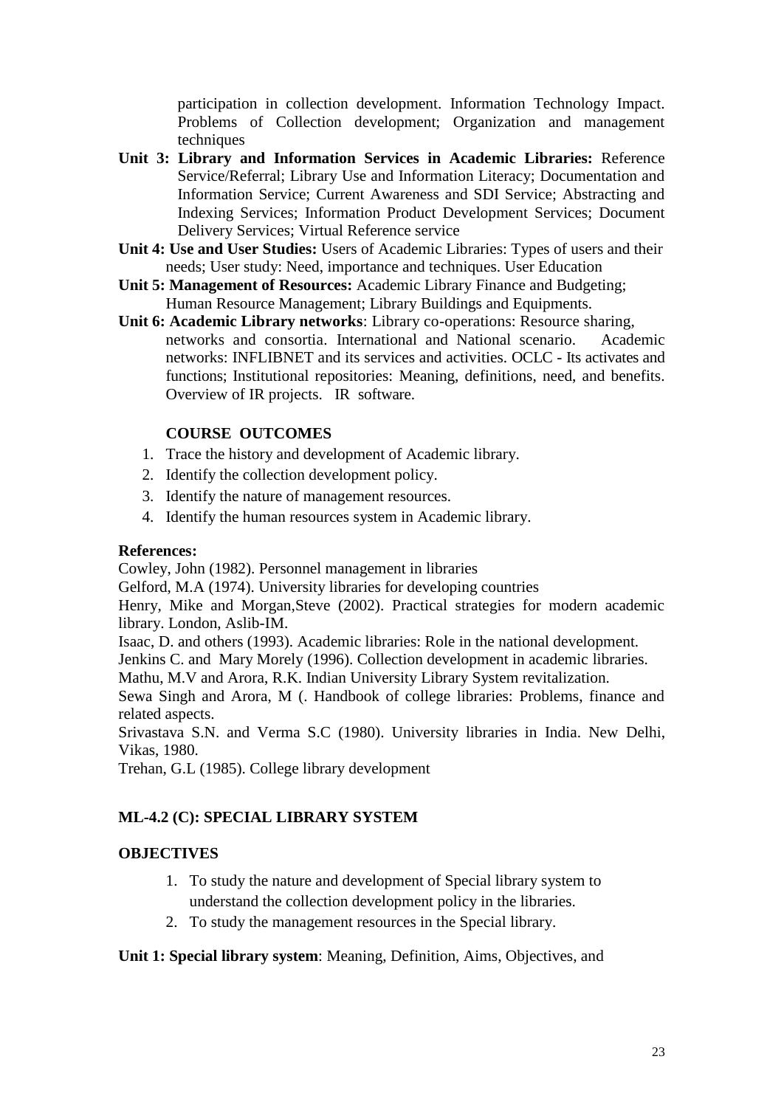participation in collection development. Information Technology Impact. Problems of Collection development; Organization and management techniques

- **Unit 3: Library and Information Services in Academic Libraries:** Reference Service/Referral; Library Use and Information Literacy; Documentation and Information Service; Current Awareness and SDI Service; Abstracting and Indexing Services; Information Product Development Services; Document Delivery Services; Virtual Reference service
- **Unit 4: Use and User Studies:** Users of Academic Libraries: Types of users and their needs; User study: Need, importance and techniques. User Education
- **Unit 5: Management of Resources:** Academic Library Finance and Budgeting; Human Resource Management; Library Buildings and Equipments.
- **Unit 6: Academic Library networks**: Library co-operations: Resource sharing, networks and consortia. International and National scenario. Academic networks: INFLIBNET and its services and activities. OCLC - Its activates and functions; Institutional repositories: Meaning, definitions, need, and benefits. Overview of IR projects. IR software.

## **COURSE OUTCOMES**

- 1. Trace the history and development of Academic library.
- 2. Identify the collection development policy.
- 3. Identify the nature of management resources.
- 4. Identify the human resources system in Academic library.

### **References:**

Cowley, John (1982). Personnel management in libraries

Gelford, M.A (1974). University libraries for developing countries

Henry, Mike and Morgan,Steve (2002). Practical strategies for modern academic library. London, Aslib-IM.

Isaac, D. and others (1993). Academic libraries: Role in the national development.

Jenkins C. and Mary Morely (1996). Collection development in academic libraries.

Mathu, M.V and Arora, R.K. Indian University Library System revitalization.

Sewa Singh and Arora, M (. Handbook of college libraries: Problems, finance and related aspects.

Srivastava S.N. and Verma S.C (1980). University libraries in India. New Delhi, Vikas, 1980.

Trehan, G.L (1985). College library development

## **ML-4.2 (C): SPECIAL LIBRARY SYSTEM**

## **OBJECTIVES**

- 1. To study the nature and development of Special library system to understand the collection development policy in the libraries.
- 2. To study the management resources in the Special library.

### **Unit 1: Special library system**: Meaning, Definition, Aims, Objectives, and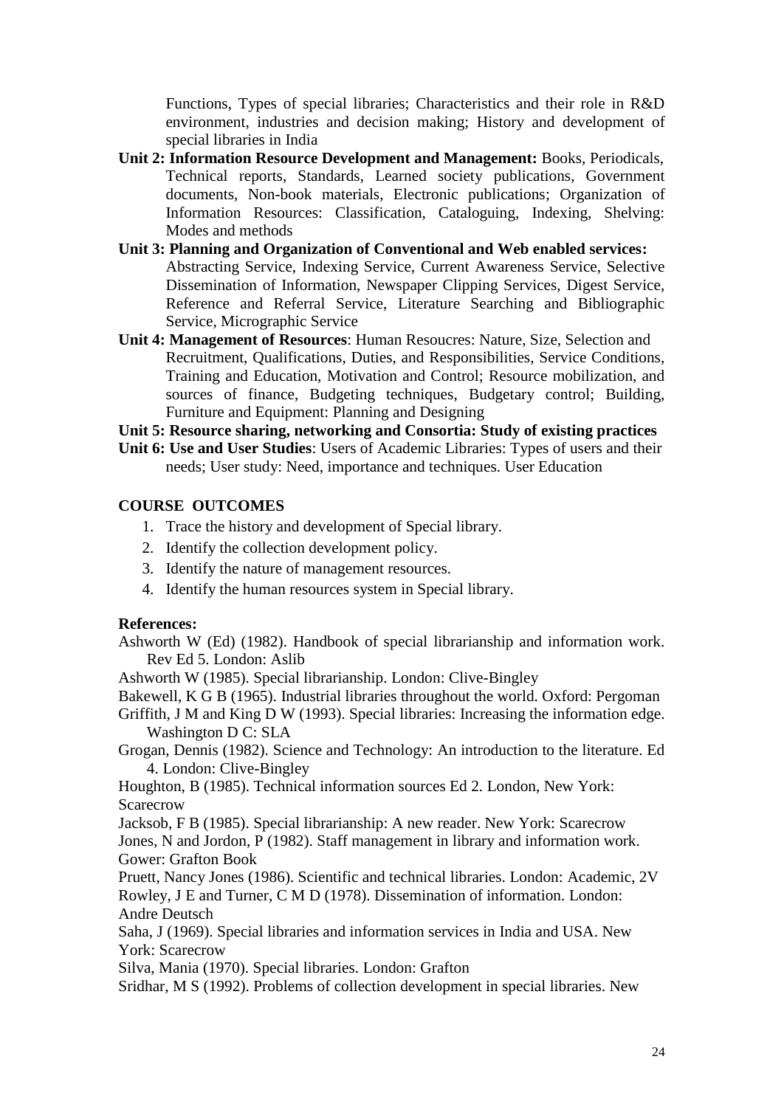Functions, Types of special libraries; Characteristics and their role in R&D environment, industries and decision making; History and development of special libraries in India

- **Unit 2: Information Resource Development and Management:** Books, Periodicals, Technical reports, Standards, Learned society publications, Government documents, Non-book materials, Electronic publications; Organization of Information Resources: Classification, Cataloguing, Indexing, Shelving: Modes and methods
- **Unit 3: Planning and Organization of Conventional and Web enabled services:**  Abstracting Service, Indexing Service, Current Awareness Service, Selective Dissemination of Information, Newspaper Clipping Services, Digest Service, Reference and Referral Service, Literature Searching and Bibliographic Service, Micrographic Service
- **Unit 4: Management of Resources**: Human Resoucres: Nature, Size, Selection and Recruitment, Qualifications, Duties, and Responsibilities, Service Conditions, Training and Education, Motivation and Control; Resource mobilization, and sources of finance, Budgeting techniques, Budgetary control; Building, Furniture and Equipment: Planning and Designing

**Unit 5: Resource sharing, networking and Consortia: Study of existing practices**

**Unit 6: Use and User Studies**: Users of Academic Libraries: Types of users and their needs; User study: Need, importance and techniques. User Education

### **COURSE OUTCOMES**

- 1. Trace the history and development of Special library.
- 2. Identify the collection development policy.
- 3. Identify the nature of management resources.
- 4. Identify the human resources system in Special library.

#### **References:**

Ashworth W (Ed) (1982). Handbook of special librarianship and information work. Rev Ed 5. London: Aslib

Ashworth W (1985). Special librarianship. London: Clive-Bingley

Bakewell, K G B (1965). Industrial libraries throughout the world. Oxford: Pergoman

Griffith, J M and King D W (1993). Special libraries: Increasing the information edge. Washington D C: SLA

Grogan, Dennis (1982). Science and Technology: An introduction to the literature. Ed 4. London: Clive-Bingley

Houghton, B (1985). Technical information sources Ed 2. London, New York: Scarecrow

Jacksob, F B (1985). Special librarianship: A new reader. New York: Scarecrow Jones, N and Jordon, P (1982). Staff management in library and information work. Gower: Grafton Book

Pruett, Nancy Jones (1986). Scientific and technical libraries. London: Academic, 2V Rowley, J E and Turner, C M D (1978). Dissemination of information. London: Andre Deutsch

Saha, J (1969). Special libraries and information services in India and USA. New York: Scarecrow

Silva, Mania (1970). Special libraries. London: Grafton

Sridhar, M S (1992). Problems of collection development in special libraries. New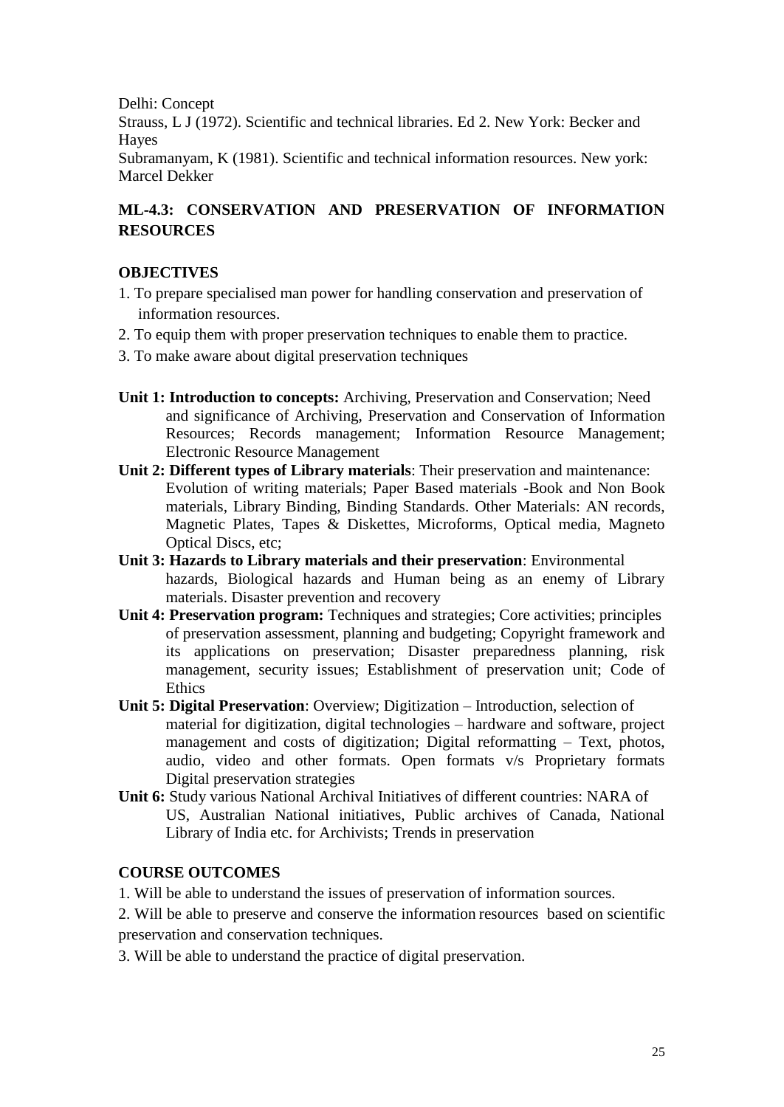Delhi: Concept Strauss, L J (1972). Scientific and technical libraries. Ed 2. New York: Becker and Hayes Subramanyam, K (1981). Scientific and technical information resources. New york: Marcel Dekker

# **ML-4.3: CONSERVATION AND PRESERVATION OF INFORMATION RESOURCES**

## **OBJECTIVES**

- 1. To prepare specialised man power for handling conservation and preservation of information resources.
- 2. To equip them with proper preservation techniques to enable them to practice.
- 3. To make aware about digital preservation techniques
- **Unit 1: Introduction to concepts:** Archiving, Preservation and Conservation; Need and significance of Archiving, Preservation and Conservation of Information Resources; Records management; Information Resource Management; Electronic Resource Management
- **Unit 2: Different types of Library materials**: Their preservation and maintenance: Evolution of writing materials; Paper Based materials -Book and Non Book materials, Library Binding, Binding Standards. Other Materials: AN records, Magnetic Plates, Tapes & Diskettes, Microforms, Optical media, Magneto Optical Discs, etc;
- **Unit 3: Hazards to Library materials and their preservation**: Environmental hazards, Biological hazards and Human being as an enemy of Library materials. Disaster prevention and recovery
- **Unit 4: Preservation program:** Techniques and strategies; Core activities; principles of preservation assessment, planning and budgeting; Copyright framework and its applications on preservation; Disaster preparedness planning, risk management, security issues; Establishment of preservation unit; Code of **Ethics**
- **Unit 5: Digital Preservation**: Overview; Digitization Introduction, selection of material for digitization, digital technologies – hardware and software, project management and costs of digitization; Digital reformatting – Text, photos, audio, video and other formats. Open formats v/s Proprietary formats Digital preservation strategies
- **Unit 6:** Study various National Archival Initiatives of different countries: NARA of US, Australian National initiatives, Public archives of Canada, National Library of India etc. for Archivists; Trends in preservation

## **COURSE OUTCOMES**

1. Will be able to understand the issues of preservation of information sources.

2. Will be able to preserve and conserve the information resources based on scientific preservation and conservation techniques.

3. Will be able to understand the practice of digital preservation.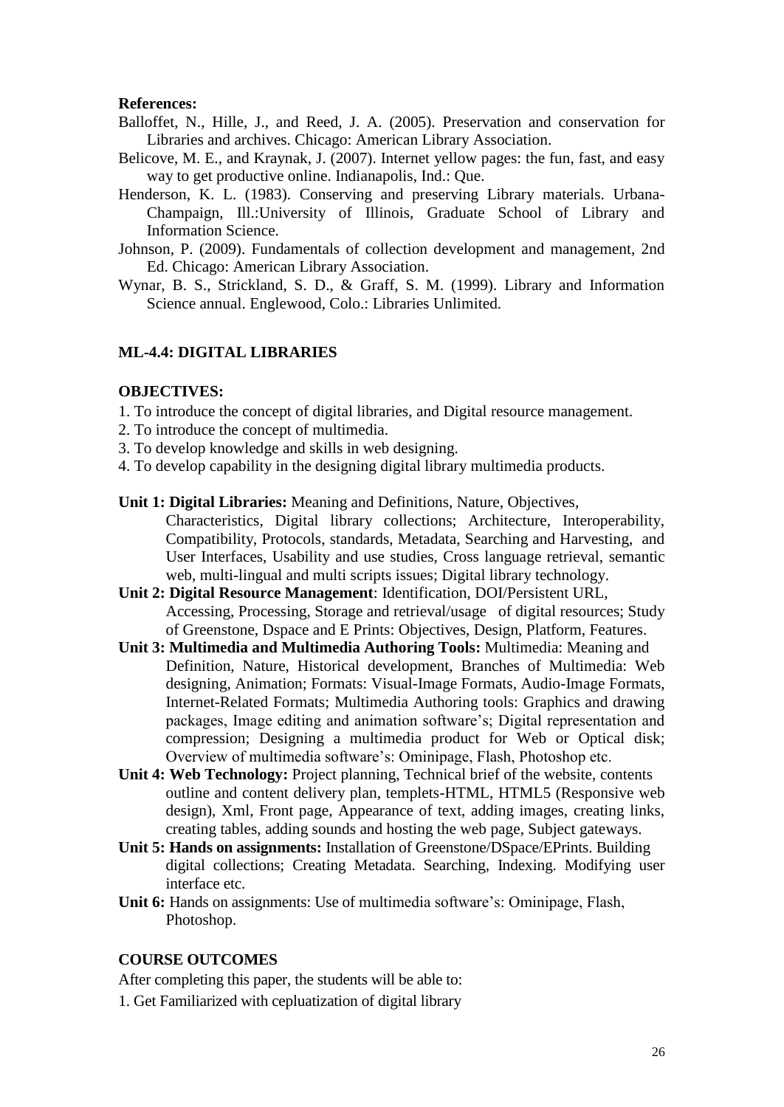#### **References:**

- Balloffet, N., Hille, J., and Reed, J. A. (2005). Preservation and conservation for Libraries and archives. Chicago: American Library Association.
- Belicove, M. E., and Kraynak, J. (2007). Internet yellow pages: the fun, fast, and easy way to get productive online. Indianapolis, Ind.: Que.
- Henderson, K. L. (1983). Conserving and preserving Library materials. Urbana-Champaign, Ill.:University of Illinois, Graduate School of Library and Information Science.
- Johnson, P. (2009). Fundamentals of collection development and management, 2nd Ed. Chicago: American Library Association.
- Wynar, B. S., Strickland, S. D., & Graff, S. M. (1999). Library and Information Science annual. Englewood, Colo.: Libraries Unlimited.

### **ML-4.4: DIGITAL LIBRARIES**

#### **OBJECTIVES:**

- 1. To introduce the concept of digital libraries, and Digital resource management.
- 2. To introduce the concept of multimedia.
- 3. To develop knowledge and skills in web designing.
- 4. To develop capability in the designing digital library multimedia products.
- **Unit 1: Digital Libraries:** Meaning and Definitions, Nature, Objectives, Characteristics, Digital library collections; Architecture, Interoperability, Compatibility, Protocols, standards, Metadata, Searching and Harvesting, and
	- User Interfaces, Usability and use studies, Cross language retrieval, semantic web, multi-lingual and multi scripts issues; Digital library technology.
- **Unit 2: Digital Resource Management**: Identification, DOI/Persistent URL, Accessing, Processing, Storage and retrieval/usage of digital resources; Study of Greenstone, Dspace and E Prints: Objectives, Design, Platform, Features.
- **Unit 3: Multimedia and Multimedia Authoring Tools:** Multimedia: Meaning and Definition, Nature, Historical development, Branches of Multimedia: Web designing, Animation; Formats: Visual-Image Formats, Audio-Image Formats, Internet-Related Formats; Multimedia Authoring tools: Graphics and drawing packages, Image editing and animation software's; Digital representation and compression; Designing a multimedia product for Web or Optical disk; Overview of multimedia software's: Ominipage, Flash, Photoshop etc.
- **Unit 4: Web Technology:** Project planning, Technical brief of the website, contents outline and content delivery plan, templets-HTML, HTML5 (Responsive web design), Xml, Front page, Appearance of text, adding images, creating links, creating tables, adding sounds and hosting the web page, Subject gateways.
- **Unit 5: Hands on assignments:** Installation of Greenstone/DSpace/EPrints. Building digital collections; Creating Metadata. Searching, Indexing. Modifying user interface etc.
- **Unit 6:** Hands on assignments: Use of multimedia software's: Ominipage, Flash, Photoshop.

#### **COURSE OUTCOMES**

After completing this paper, the students will be able to:

1. Get Familiarized with cepluatization of digital library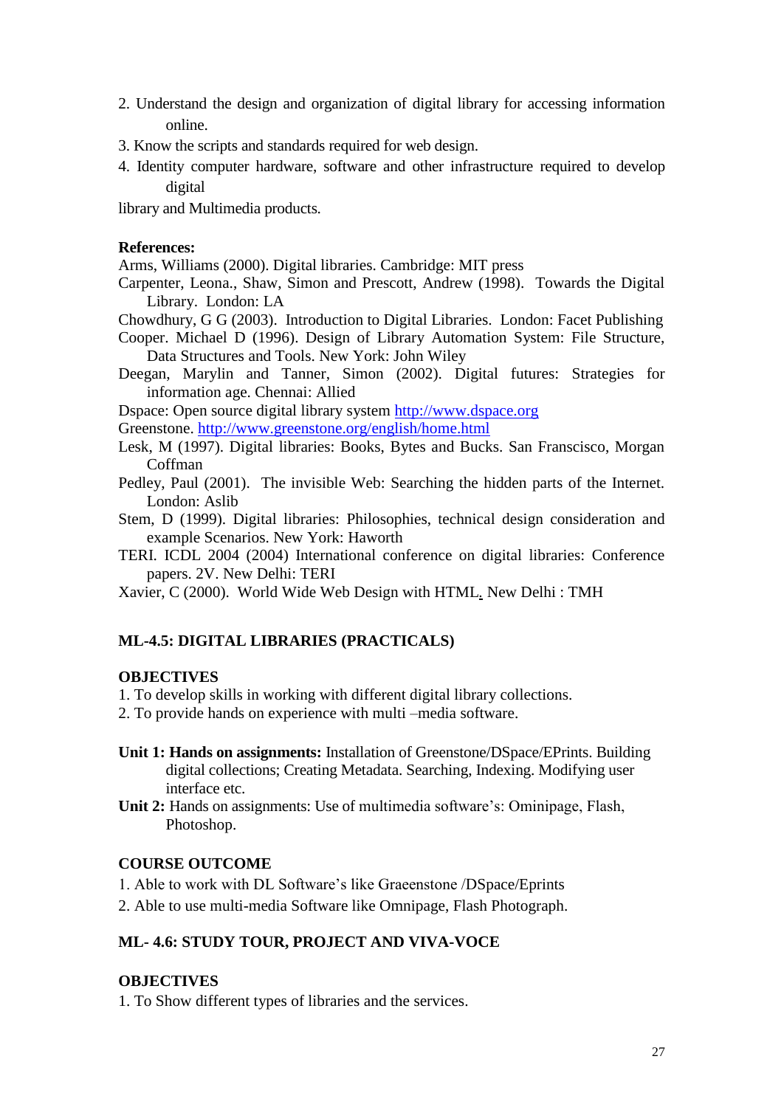- 2. Understand the design and organization of digital library for accessing information online.
- 3. Know the scripts and standards required for web design.
- 4. Identity computer hardware, software and other infrastructure required to develop digital

library and Multimedia products.

#### **References:**

Arms, Williams (2000). Digital libraries. Cambridge: MIT press

Carpenter, Leona., Shaw, Simon and Prescott, Andrew (1998). Towards the Digital Library. London: LA

Chowdhury, G G (2003). Introduction to Digital Libraries. London: Facet Publishing

Cooper. Michael D (1996). Design of Library Automation System: File Structure, Data Structures and Tools. New York: John Wiley

Deegan, Marylin and Tanner, Simon (2002). Digital futures: Strategies for information age. Chennai: Allied

Dspace: Open source digital library system [http://www.dspace.org](http://www.dspace.org/)

Greenstone.<http://www.greenstone.org/english/home.html>

- Lesk, M (1997). Digital libraries: Books, Bytes and Bucks. San Franscisco, Morgan Coffman
- Pedley, Paul (2001). The invisible Web: Searching the hidden parts of the Internet. London: Aslib
- Stem, D (1999). Digital libraries: Philosophies, technical design consideration and example Scenarios. New York: Haworth
- TERI. ICDL 2004 (2004) International conference on digital libraries: Conference papers. 2V. New Delhi: TERI

Xavier, C (2000). World Wide Web Design with HTML*.* New Delhi : TMH

## **ML-4.5: DIGITAL LIBRARIES (PRACTICALS)**

### **OBJECTIVES**

1. To develop skills in working with different digital library collections.

- 2. To provide hands on experience with multi –media software.
- **Unit 1: Hands on assignments:** Installation of Greenstone/DSpace/EPrints. Building digital collections; Creating Metadata. Searching, Indexing. Modifying user interface etc.
- **Unit 2:** Hands on assignments: Use of multimedia software's: Ominipage, Flash, Photoshop.

### **COURSE OUTCOME**

- 1. Able to work with DL Software's like Graeenstone /DSpace/Eprints
- 2. Able to use multi-media Software like Omnipage, Flash Photograph.

### **ML- 4.6: STUDY TOUR, PROJECT AND VIVA-VOCE**

## **OBJECTIVES**

1. To Show different types of libraries and the services.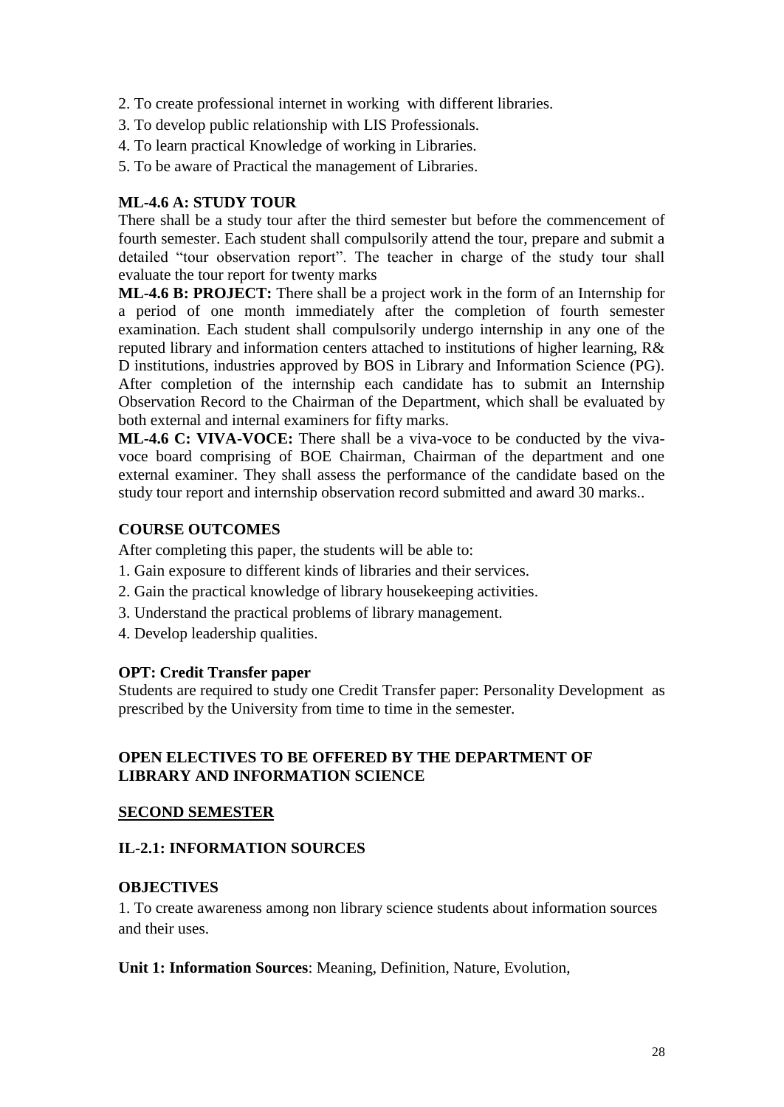- 2. To create professional internet in working with different libraries.
- 3. To develop public relationship with LIS Professionals.
- 4. To learn practical Knowledge of working in Libraries.
- 5. To be aware of Practical the management of Libraries.

### **ML-4.6 A: STUDY TOUR**

There shall be a study tour after the third semester but before the commencement of fourth semester. Each student shall compulsorily attend the tour, prepare and submit a detailed "tour observation report". The teacher in charge of the study tour shall evaluate the tour report for twenty marks

**ML-4.6 B: PROJECT:** There shall be a project work in the form of an Internship for a period of one month immediately after the completion of fourth semester examination. Each student shall compulsorily undergo internship in any one of the reputed library and information centers attached to institutions of higher learning, R& D institutions, industries approved by BOS in Library and Information Science (PG). After completion of the internship each candidate has to submit an Internship Observation Record to the Chairman of the Department, which shall be evaluated by both external and internal examiners for fifty marks.

**ML-4.6 C: VIVA-VOCE:** There shall be a viva-voce to be conducted by the vivavoce board comprising of BOE Chairman, Chairman of the department and one external examiner. They shall assess the performance of the candidate based on the study tour report and internship observation record submitted and award 30 marks..

### **COURSE OUTCOMES**

After completing this paper, the students will be able to:

- 1. Gain exposure to different kinds of libraries and their services.
- 2. Gain the practical knowledge of library housekeeping activities.
- 3. Understand the practical problems of library management.
- 4. Develop leadership qualities.

### **OPT: Credit Transfer paper**

Students are required to study one Credit Transfer paper: Personality Development as prescribed by the University from time to time in the semester.

### **OPEN ELECTIVES TO BE OFFERED BY THE DEPARTMENT OF LIBRARY AND INFORMATION SCIENCE**

### **SECOND SEMESTER**

## **IL-2.1: INFORMATION SOURCES**

## **OBJECTIVES**

1. To create awareness among non library science students about information sources and their uses.

**Unit 1: Information Sources**: Meaning, Definition, Nature, Evolution,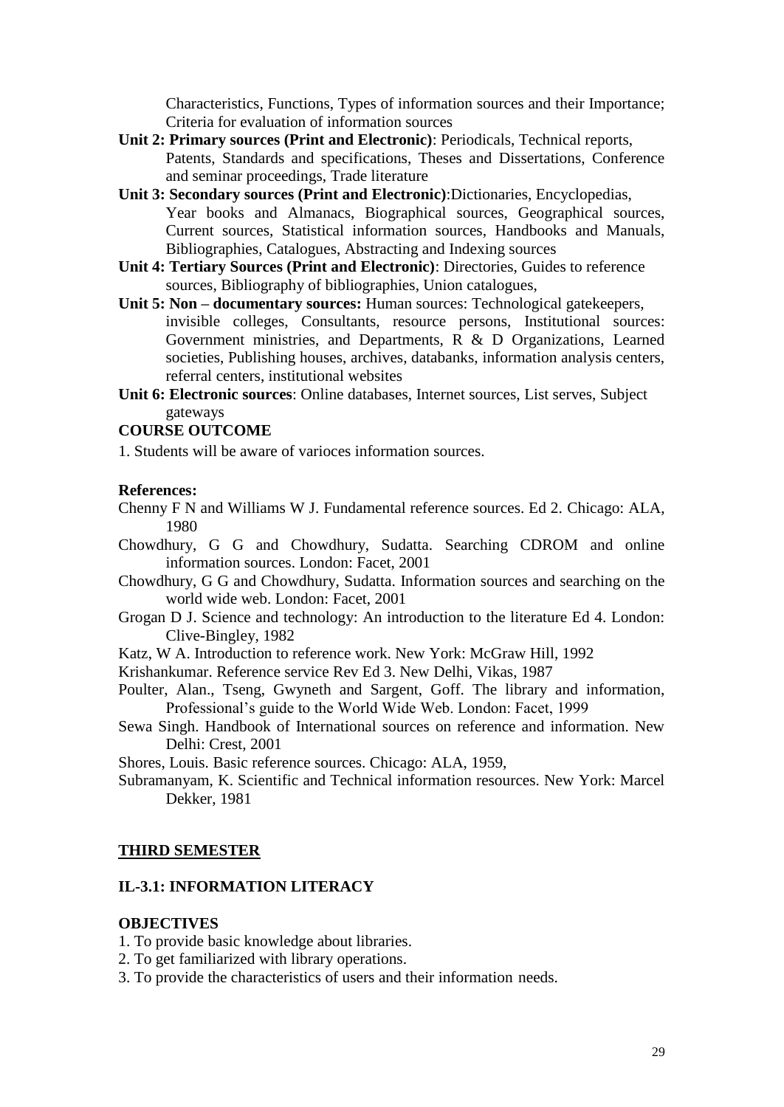Characteristics, Functions, Types of information sources and their Importance; Criteria for evaluation of information sources

- **Unit 2: Primary sources (Print and Electronic)**: Periodicals, Technical reports, Patents, Standards and specifications, Theses and Dissertations, Conference and seminar proceedings, Trade literature
- **Unit 3: Secondary sources (Print and Electronic)**:Dictionaries, Encyclopedias, Year books and Almanacs, Biographical sources, Geographical sources, Current sources, Statistical information sources, Handbooks and Manuals, Bibliographies, Catalogues, Abstracting and Indexing sources
- **Unit 4: Tertiary Sources (Print and Electronic)**: Directories, Guides to reference sources, Bibliography of bibliographies, Union catalogues,
- **Unit 5: Non – documentary sources:** Human sources: Technological gatekeepers, invisible colleges, Consultants, resource persons, Institutional sources: Government ministries, and Departments, R & D Organizations, Learned societies, Publishing houses, archives, databanks, information analysis centers, referral centers, institutional websites
- **Unit 6: Electronic sources**: Online databases, Internet sources, List serves, Subject gateways

#### **COURSE OUTCOME**

1. Students will be aware of varioces information sources.

#### **References:**

- Chenny F N and Williams W J. Fundamental reference sources. Ed 2. Chicago: ALA, 1980
- Chowdhury, G G and Chowdhury, Sudatta. Searching CDROM and online information sources. London: Facet, 2001
- Chowdhury, G G and Chowdhury, Sudatta. Information sources and searching on the world wide web. London: Facet, 2001
- Grogan D J. Science and technology: An introduction to the literature Ed 4. London: Clive-Bingley, 1982
- Katz, W A. Introduction to reference work. New York: McGraw Hill, 1992
- Krishankumar. Reference service Rev Ed 3. New Delhi, Vikas, 1987
- Poulter, Alan., Tseng, Gwyneth and Sargent, Goff. The library and information, Professional's guide to the World Wide Web. London: Facet, 1999
- Sewa Singh. Handbook of International sources on reference and information. New Delhi: Crest, 2001

Shores, Louis. Basic reference sources. Chicago: ALA, 1959,

Subramanyam, K. Scientific and Technical information resources. New York: Marcel Dekker, 1981

#### **THIRD SEMESTER**

#### **IL-3.1: INFORMATION LITERACY**

#### **OBJECTIVES**

- 1. To provide basic knowledge about libraries.
- 2. To get familiarized with library operations.
- 3. To provide the characteristics of users and their information needs.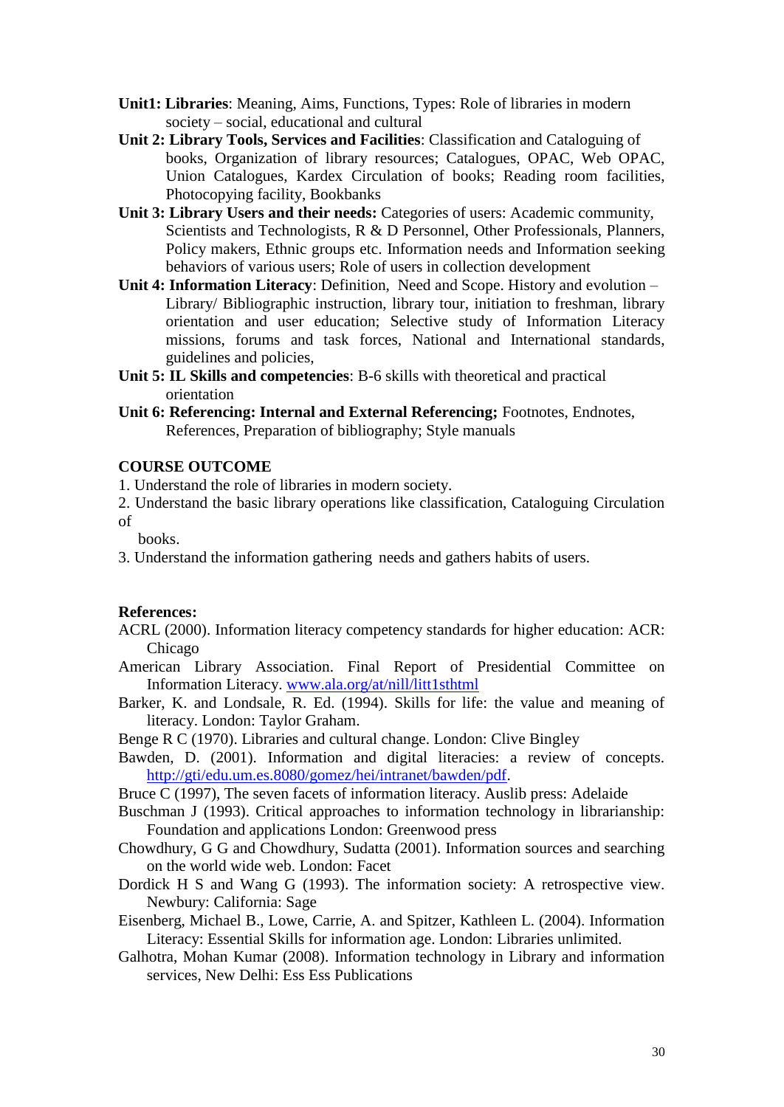- **Unit1: Libraries**: Meaning, Aims, Functions, Types: Role of libraries in modern society – social, educational and cultural
- **Unit 2: Library Tools, Services and Facilities**: Classification and Cataloguing of books, Organization of library resources; Catalogues, OPAC, Web OPAC, Union Catalogues, Kardex Circulation of books; Reading room facilities, Photocopying facility, Bookbanks
- **Unit 3: Library Users and their needs:** Categories of users: Academic community, Scientists and Technologists, R & D Personnel, Other Professionals, Planners, Policy makers, Ethnic groups etc. Information needs and Information seeking behaviors of various users; Role of users in collection development
- **Unit 4: Information Literacy**: Definition, Need and Scope. History and evolution Library/ Bibliographic instruction, library tour, initiation to freshman, library orientation and user education; Selective study of Information Literacy missions, forums and task forces, National and International standards, guidelines and policies,
- **Unit 5: IL Skills and competencies**: B-6 skills with theoretical and practical orientation
- **Unit 6: Referencing: Internal and External Referencing;** Footnotes, Endnotes, References, Preparation of bibliography; Style manuals

### **COURSE OUTCOME**

1. Understand the role of libraries in modern society.

2. Understand the basic library operations like classification, Cataloguing Circulation of

books.

3. Understand the information gathering needs and gathers habits of users.

#### **References:**

- ACRL (2000). Information literacy competency standards for higher education: ACR: Chicago
- American Library Association. Final Report of Presidential Committee on Information Literacy. [www.ala.org/at/nill/litt1sthtml](http://www.ala.org/at/nill/litt1sthtml)
- Barker, K. and Londsale, R. Ed. (1994). Skills for life: the value and meaning of literacy. London: Taylor Graham.

Benge R C (1970). Libraries and cultural change. London: Clive Bingley

- Bawden, D. (2001). Information and digital literacies: a review of concepts. [http://gti/edu.um.es.8080/gomez/hei/intranet/bawden/pdf.](http://gti/edu.um.es.8080/gomez/hei/intranet/bawden/pdf)
- Bruce C (1997), The seven facets of information literacy. Auslib press: Adelaide
- Buschman J (1993). Critical approaches to information technology in librarianship: Foundation and applications London: Greenwood press
- Chowdhury, G G and Chowdhury, Sudatta (2001). Information sources and searching on the world wide web. London: Facet
- Dordick H S and Wang G (1993). The information society: A retrospective view. Newbury: California: Sage
- Eisenberg, Michael B., Lowe, Carrie, A. and Spitzer, Kathleen L. (2004). Information Literacy: Essential Skills for information age. London: Libraries unlimited.
- Galhotra, Mohan Kumar (2008). Information technology in Library and information services, New Delhi: Ess Ess Publications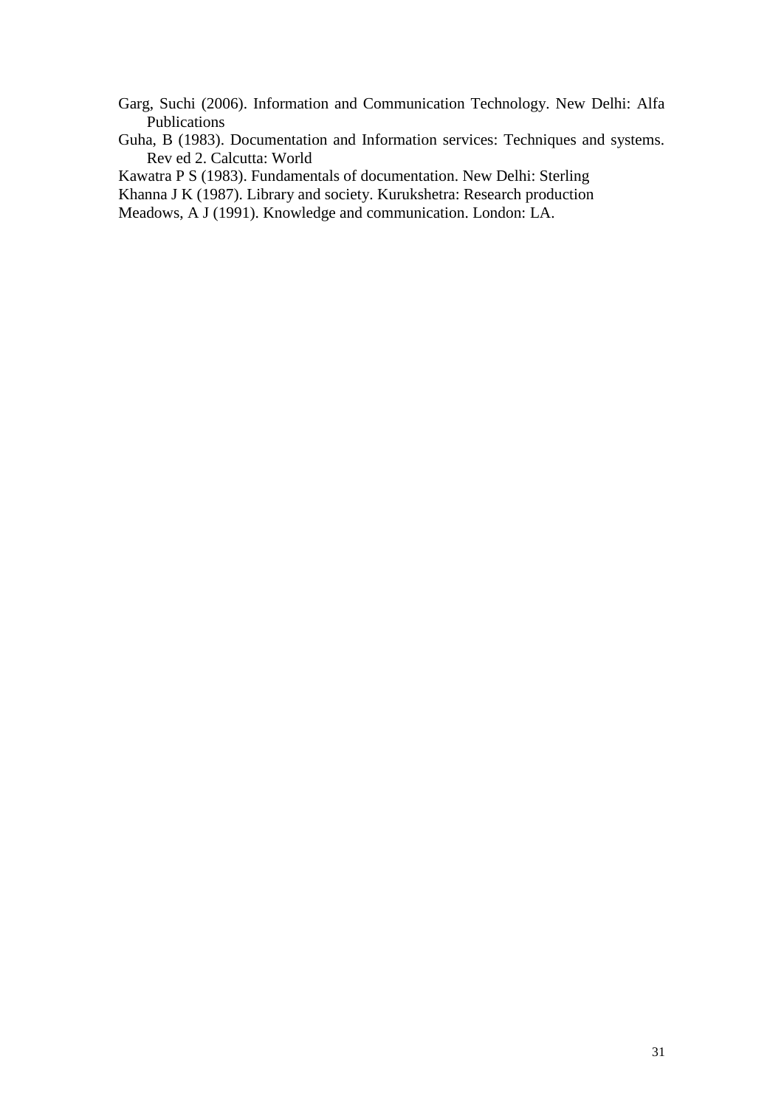- Garg, Suchi (2006). Information and Communication Technology. New Delhi: Alfa Publications
- Guha, B (1983). Documentation and Information services: Techniques and systems. Rev ed 2. Calcutta: World

Kawatra P S (1983). Fundamentals of documentation. New Delhi: Sterling

Khanna J K (1987). Library and society. Kurukshetra: Research production

Meadows, A J (1991). Knowledge and communication. London: LA.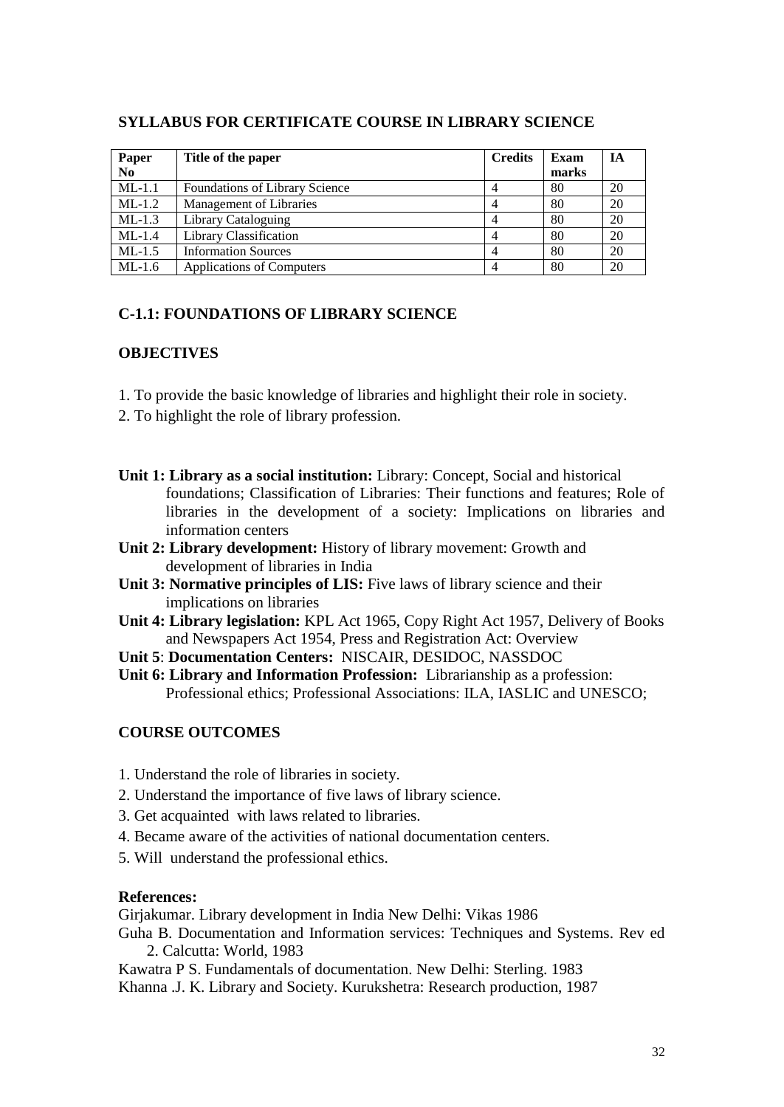| Paper<br>No | Title of the paper                    | <b>Credits</b> | Exam<br>marks | IА |
|-------------|---------------------------------------|----------------|---------------|----|
| $ML-1.1$    | <b>Foundations of Library Science</b> |                | 80            | 20 |
| $ML-1.2$    | Management of Libraries               |                | 80            | 20 |
| $ML-1.3$    | Library Cataloguing                   |                | 80            | 20 |
| $ML-1.4$    | Library Classification                |                | 80            | 20 |
| $ML-1.5$    | <b>Information Sources</b>            |                | 80            | 20 |
| $ML-1.6$    | Applications of Computers             |                | 80            | 20 |

### **SYLLABUS FOR CERTIFICATE COURSE IN LIBRARY SCIENCE**

## **C-1.1: FOUNDATIONS OF LIBRARY SCIENCE**

### **OBJECTIVES**

- 1. To provide the basic knowledge of libraries and highlight their role in society.
- 2. To highlight the role of library profession.
- **Unit 1: Library as a social institution:** Library: Concept, Social and historical foundations; Classification of Libraries: Their functions and features; Role of libraries in the development of a society: Implications on libraries and information centers
- **Unit 2: Library development:** History of library movement: Growth and development of libraries in India
- **Unit 3: Normative principles of LIS:** Five laws of library science and their implications on libraries
- **Unit 4: Library legislation:** KPL Act 1965, Copy Right Act 1957, Delivery of Books and Newspapers Act 1954, Press and Registration Act: Overview
- **Unit 5**: **Documentation Centers:** NISCAIR, DESIDOC, NASSDOC
- **Unit 6: Library and Information Profession:** Librarianship as a profession: Professional ethics; Professional Associations: ILA, IASLIC and UNESCO;

## **COURSE OUTCOMES**

- 1. Understand the role of libraries in society.
- 2. Understand the importance of five laws of library science.
- 3. Get acquainted with laws related to libraries.
- 4. Became aware of the activities of national documentation centers.
- 5. Will understand the professional ethics.

### **References:**

Girjakumar. Library development in India New Delhi: Vikas 1986

Guha B. Documentation and Information services: Techniques and Systems. Rev ed 2. Calcutta: World, 1983

Kawatra P S. Fundamentals of documentation. New Delhi: Sterling. 1983

Khanna .J. K. Library and Society. Kurukshetra: Research production, 1987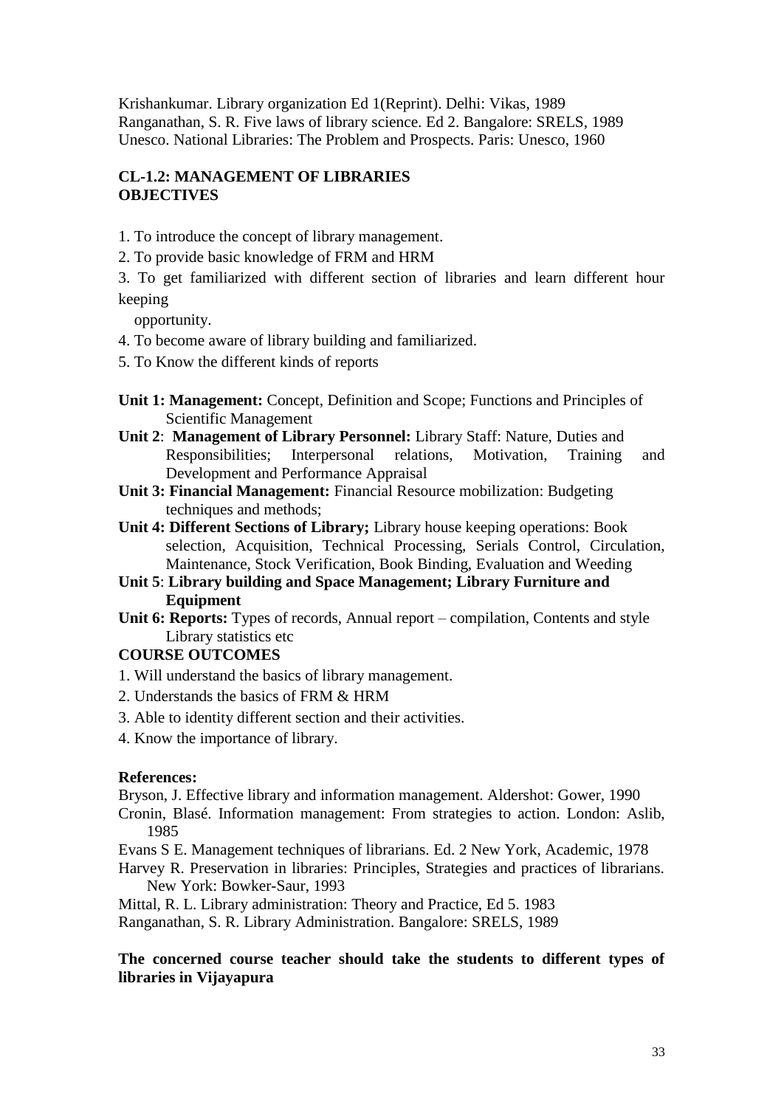Krishankumar. Library organization Ed 1(Reprint). Delhi: Vikas, 1989 Ranganathan, S. R. Five laws of library science. Ed 2. Bangalore: SRELS, 1989 Unesco. National Libraries: The Problem and Prospects. Paris: Unesco, 1960

# **CL-1.2: MANAGEMENT OF LIBRARIES OBJECTIVES**

- 1. To introduce the concept of library management.
- 2. To provide basic knowledge of FRM and HRM
- 3. To get familiarized with different section of libraries and learn different hour keeping

opportunity.

- 4. To become aware of library building and familiarized.
- 5. To Know the different kinds of reports
- **Unit 1: Management:** Concept, Definition and Scope; Functions and Principles of Scientific Management
- **Unit 2**: **Management of Library Personnel:** Library Staff: Nature, Duties and Responsibilities; Interpersonal relations, Motivation, Training and Development and Performance Appraisal
- **Unit 3: Financial Management:** Financial Resource mobilization: Budgeting techniques and methods;
- **Unit 4: Different Sections of Library;** Library house keeping operations: Book selection, Acquisition, Technical Processing, Serials Control, Circulation, Maintenance, Stock Verification, Book Binding, Evaluation and Weeding
- **Unit 5**: **Library building and Space Management; Library Furniture and Equipment**
- Unit 6: Reports: Types of records, Annual report compilation, Contents and style Library statistics etc

## **COURSE OUTCOMES**

- 1. Will understand the basics of library management.
- 2. Understands the basics of FRM & HRM
- 3. Able to identity different section and their activities.
- 4. Know the importance of library.

### **References:**

Bryson, J. Effective library and information management. Aldershot: Gower, 1990 Cronin, Blasé. Information management: From strategies to action. London: Aslib, 1985

Evans S E. Management techniques of librarians. Ed. 2 New York, Academic, 1978

Harvey R. Preservation in libraries: Principles, Strategies and practices of librarians. New York: Bowker-Saur, 1993

Mittal, R. L. Library administration: Theory and Practice, Ed 5. 1983

Ranganathan, S. R. Library Administration. Bangalore: SRELS, 1989

### **The concerned course teacher should take the students to different types of libraries in Vijayapura**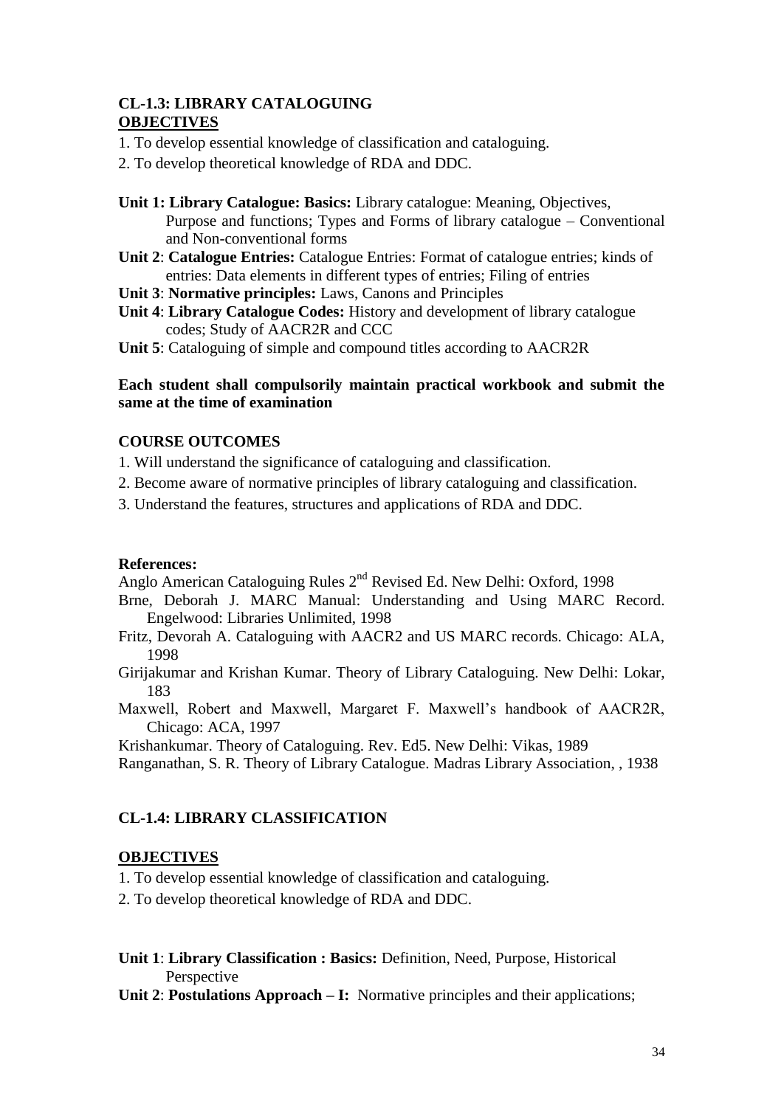# **CL-1.3: LIBRARY CATALOGUING OBJECTIVES**

- 1. To develop essential knowledge of classification and cataloguing.
- 2. To develop theoretical knowledge of RDA and DDC.
- **Unit 1: Library Catalogue: Basics:** Library catalogue: Meaning, Objectives, Purpose and functions; Types and Forms of library catalogue – Conventional and Non-conventional forms
- **Unit 2**: **Catalogue Entries:** Catalogue Entries: Format of catalogue entries; kinds of entries: Data elements in different types of entries; Filing of entries
- **Unit 3**: **Normative principles:** Laws, Canons and Principles
- **Unit 4**: **Library Catalogue Codes:** History and development of library catalogue codes; Study of AACR2R and CCC
- **Unit 5**: Cataloguing of simple and compound titles according to AACR2R

### **Each student shall compulsorily maintain practical workbook and submit the same at the time of examination**

## **COURSE OUTCOMES**

- 1. Will understand the significance of cataloguing and classification.
- 2. Become aware of normative principles of library cataloguing and classification.
- 3. Understand the features, structures and applications of RDA and DDC.

### **References:**

Anglo American Cataloguing Rules 2<sup>nd</sup> Revised Ed. New Delhi: Oxford, 1998

- Brne, Deborah J. MARC Manual: Understanding and Using MARC Record. Engelwood: Libraries Unlimited, 1998
- Fritz, Devorah A. Cataloguing with AACR2 and US MARC records. Chicago: ALA, 1998
- Girijakumar and Krishan Kumar. Theory of Library Cataloguing. New Delhi: Lokar, 183
- Maxwell, Robert and Maxwell, Margaret F. Maxwell's handbook of AACR2R, Chicago: ACA, 1997

Krishankumar. Theory of Cataloguing. Rev. Ed5. New Delhi: Vikas, 1989

Ranganathan, S. R. Theory of Library Catalogue. Madras Library Association, , 1938

## **CL-1.4: LIBRARY CLASSIFICATION**

### **OBJECTIVES**

1. To develop essential knowledge of classification and cataloguing.

2. To develop theoretical knowledge of RDA and DDC.

**Unit 1**: **Library Classification : Basics:** Definition, Need, Purpose, Historical Perspective

**Unit 2**: **Postulations Approach – I:** Normative principles and their applications;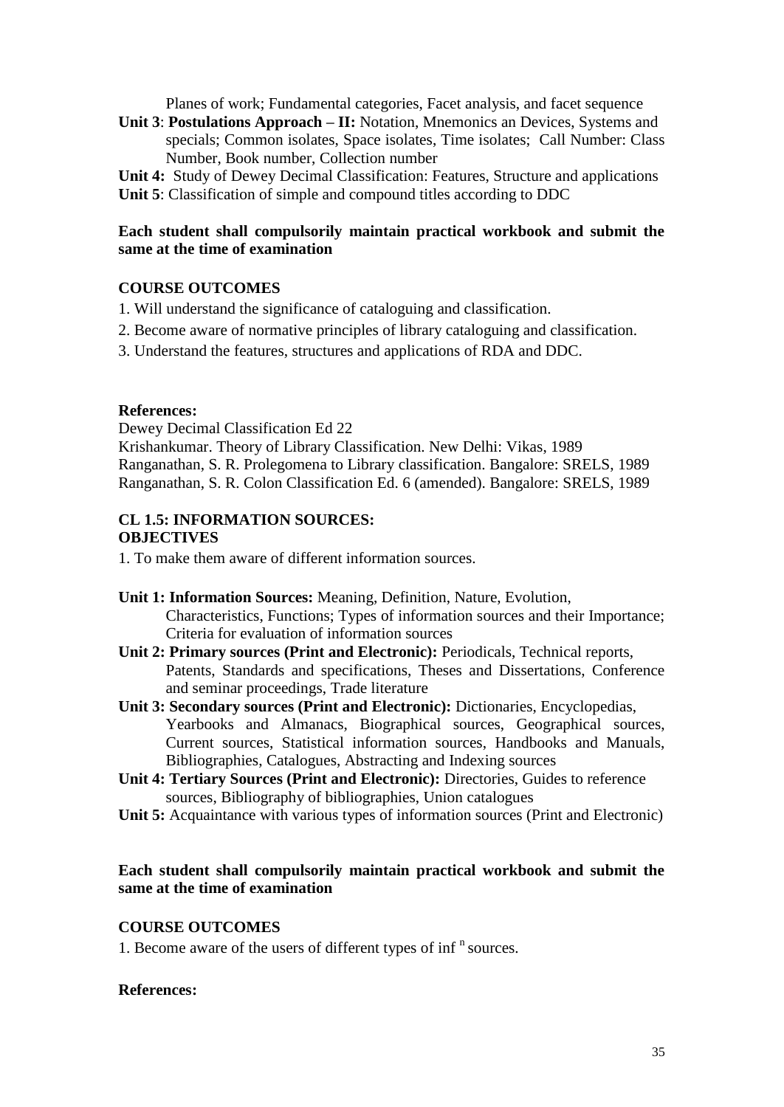Planes of work; Fundamental categories, Facet analysis, and facet sequence

**Unit 3**: **Postulations Approach – II:** Notation, Mnemonics an Devices, Systems and specials; Common isolates, Space isolates, Time isolates; Call Number: Class Number, Book number, Collection number

**Unit 4:** Study of Dewey Decimal Classification: Features, Structure and applications **Unit 5**: Classification of simple and compound titles according to DDC

### **Each student shall compulsorily maintain practical workbook and submit the same at the time of examination**

### **COURSE OUTCOMES**

- 1. Will understand the significance of cataloguing and classification.
- 2. Become aware of normative principles of library cataloguing and classification.
- 3. Understand the features, structures and applications of RDA and DDC.

#### **References:**

Dewey Decimal Classification Ed 22

Krishankumar. Theory of Library Classification. New Delhi: Vikas, 1989 Ranganathan, S. R. Prolegomena to Library classification. Bangalore: SRELS, 1989 Ranganathan, S. R. Colon Classification Ed. 6 (amended). Bangalore: SRELS, 1989

### **CL 1.5: INFORMATION SOURCES: OBJECTIVES**

1. To make them aware of different information sources.

- **Unit 1: Information Sources:** Meaning, Definition, Nature, Evolution, Characteristics, Functions; Types of information sources and their Importance; Criteria for evaluation of information sources
- **Unit 2: Primary sources (Print and Electronic):** Periodicals, Technical reports, Patents, Standards and specifications, Theses and Dissertations, Conference and seminar proceedings, Trade literature
- **Unit 3: Secondary sources (Print and Electronic):** Dictionaries, Encyclopedias, Yearbooks and Almanacs, Biographical sources, Geographical sources, Current sources, Statistical information sources, Handbooks and Manuals, Bibliographies, Catalogues, Abstracting and Indexing sources
- **Unit 4: Tertiary Sources (Print and Electronic):** Directories, Guides to reference sources, Bibliography of bibliographies, Union catalogues
- **Unit 5:** Acquaintance with various types of information sources (Print and Electronic)

### **Each student shall compulsorily maintain practical workbook and submit the same at the time of examination**

### **COURSE OUTCOMES**

1. Become aware of the users of different types of  $inf$ <sup>n</sup> sources.

#### **References:**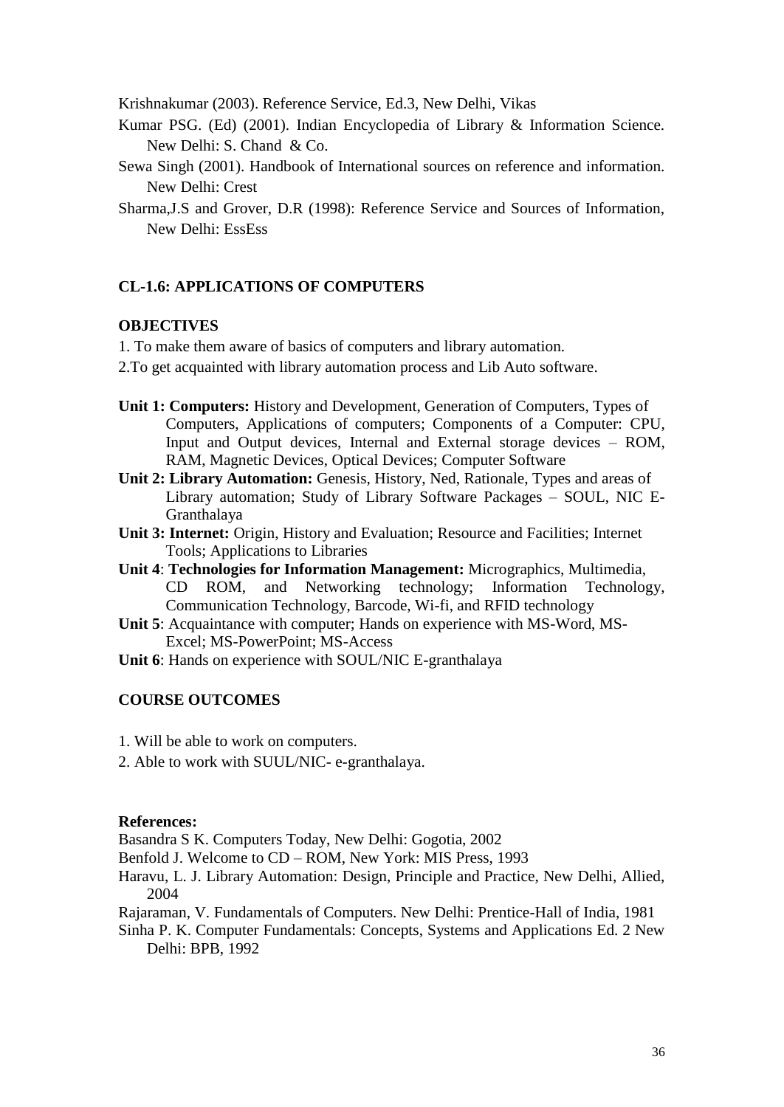Krishnakumar (2003). Reference Service, Ed.3, New Delhi, Vikas

- Kumar PSG. (Ed) (2001). Indian Encyclopedia of Library & Information Science. New Delhi: S. Chand & Co.
- Sewa Singh (2001). Handbook of International sources on reference and information. New Delhi: Crest
- Sharma,J.S and Grover, D.R (1998): Reference Service and Sources of Information, New Delhi: EssEss

### **CL-1.6: APPLICATIONS OF COMPUTERS**

### **OBJECTIVES**

- 1. To make them aware of basics of computers and library automation.
- 2.To get acquainted with library automation process and Lib Auto software.
- **Unit 1: Computers:** History and Development, Generation of Computers, Types of Computers, Applications of computers; Components of a Computer: CPU, Input and Output devices, Internal and External storage devices – ROM, RAM, Magnetic Devices, Optical Devices; Computer Software
- **Unit 2: Library Automation:** Genesis, History, Ned, Rationale, Types and areas of Library automation; Study of Library Software Packages – SOUL, NIC E-Granthalaya
- **Unit 3: Internet:** Origin, History and Evaluation; Resource and Facilities; Internet Tools; Applications to Libraries
- **Unit 4**: **Technologies for Information Management:** Micrographics, Multimedia, CD ROM, and Networking technology; Information Technology, Communication Technology, Barcode, Wi-fi, and RFID technology
- **Unit 5**: Acquaintance with computer; Hands on experience with MS-Word, MS-Excel; MS-PowerPoint; MS-Access
- **Unit 6**: Hands on experience with SOUL/NIC E-granthalaya

### **COURSE OUTCOMES**

- 1. Will be able to work on computers.
- 2. Able to work with SUUL/NIC- e-granthalaya.

#### **References:**

Basandra S K. Computers Today, New Delhi: Gogotia, 2002

Benfold J. Welcome to CD – ROM, New York: MIS Press, 1993

- Haravu, L. J. Library Automation: Design, Principle and Practice, New Delhi, Allied, 2004
- Rajaraman, V. Fundamentals of Computers. New Delhi: Prentice-Hall of India, 1981

Sinha P. K. Computer Fundamentals: Concepts, Systems and Applications Ed. 2 New Delhi: BPB, 1992